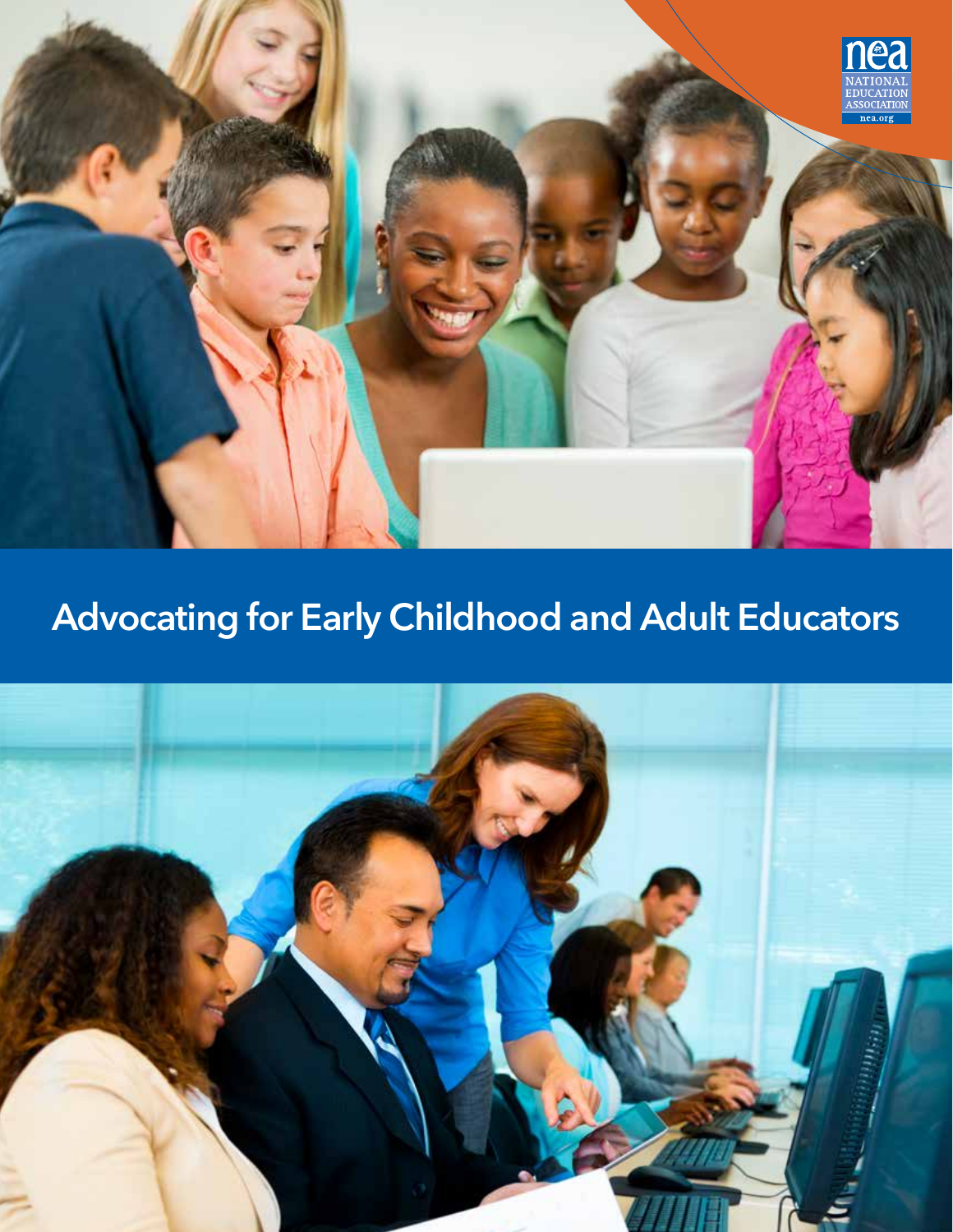

# **Advocating for Early Childhood and Adult Educators**

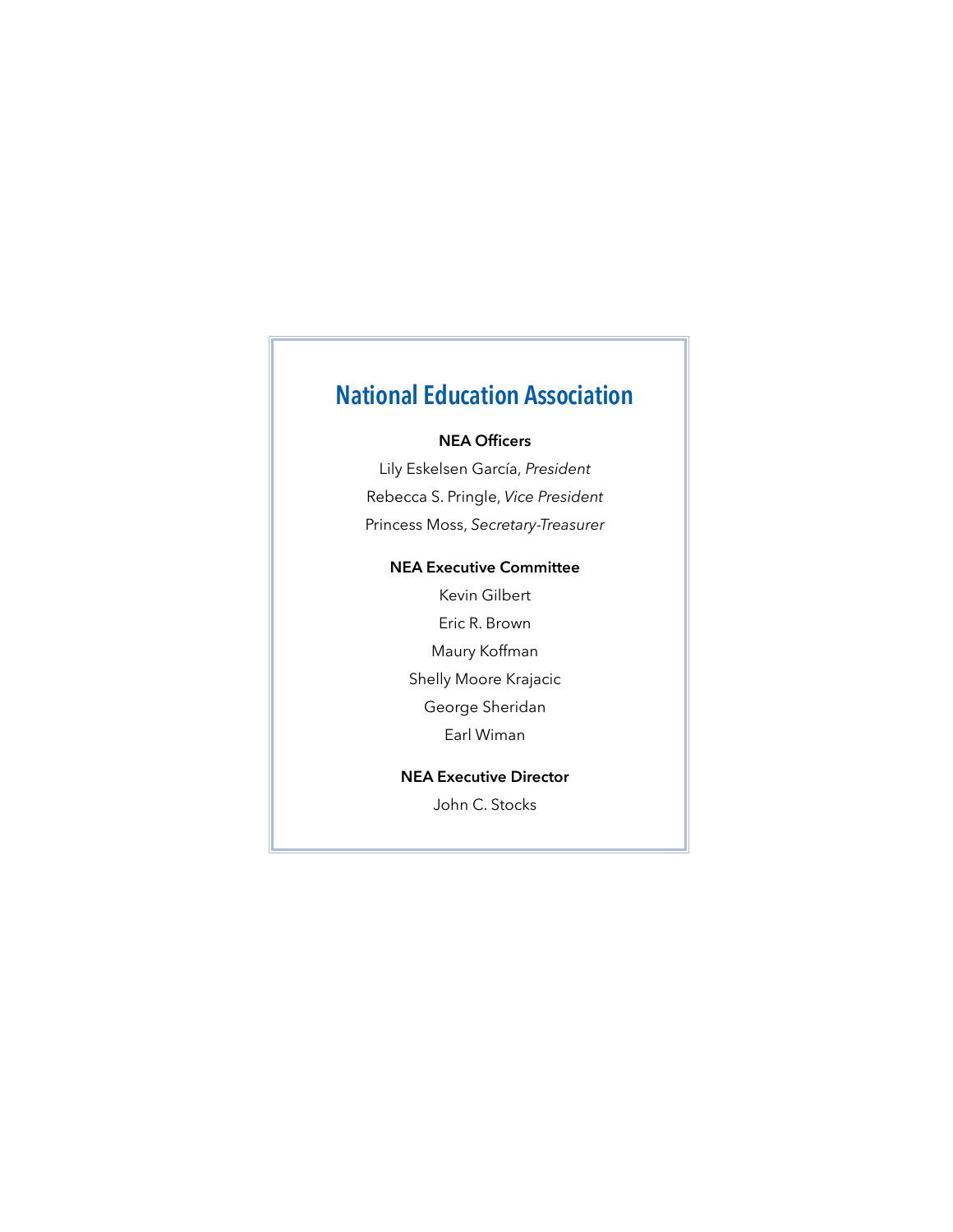# **National Education Association**

#### **NEA Officers**

Lily Eskelsen García, *President* Rebecca S. Pringle, *Vice President* Princess Moss, *Secretary-Treasurer*

### **NEA Executive Committee**

Kevin Gilbert Eric R. Brown Maury Koffman Shelly Moore Krajacic George Sheridan Earl Wiman

#### **NEA Executive Director**

John C. Stocks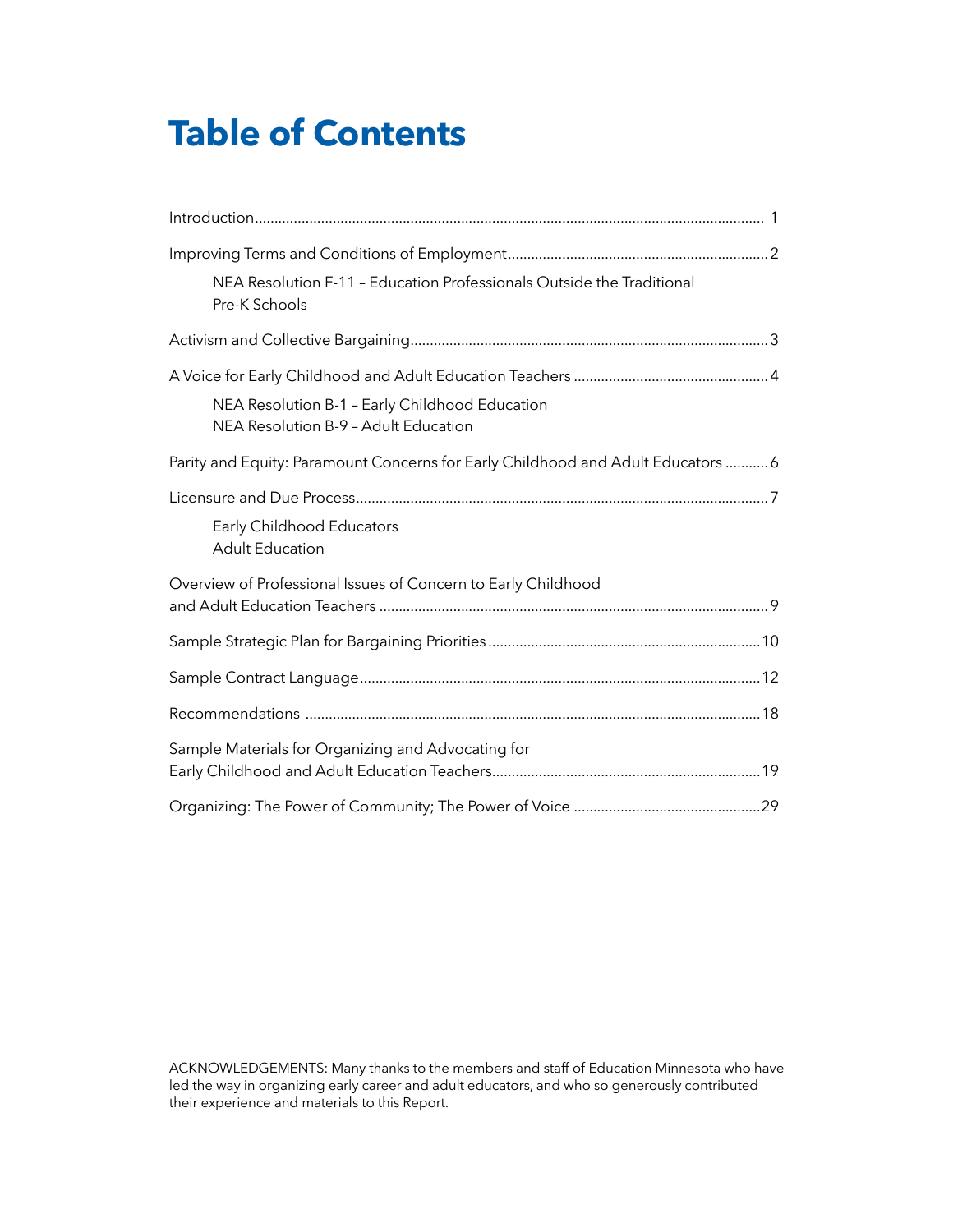# **Table of Contents**

| NEA Resolution F-11 - Education Professionals Outside the Traditional<br>Pre-K Schools |
|----------------------------------------------------------------------------------------|
|                                                                                        |
|                                                                                        |
| NEA Resolution B-1 - Early Childhood Education<br>NEA Resolution B-9 - Adult Education |
| Parity and Equity: Paramount Concerns for Early Childhood and Adult Educators  6       |
|                                                                                        |
| Early Childhood Educators<br><b>Adult Education</b>                                    |
| Overview of Professional Issues of Concern to Early Childhood                          |
|                                                                                        |
|                                                                                        |
|                                                                                        |
| Sample Materials for Organizing and Advocating for                                     |
|                                                                                        |

ACKNOWLEDGEMENTS: Many thanks to the members and staff of Education Minnesota who have led the way in organizing early career and adult educators, and who so generously contributed their experience and materials to this Report.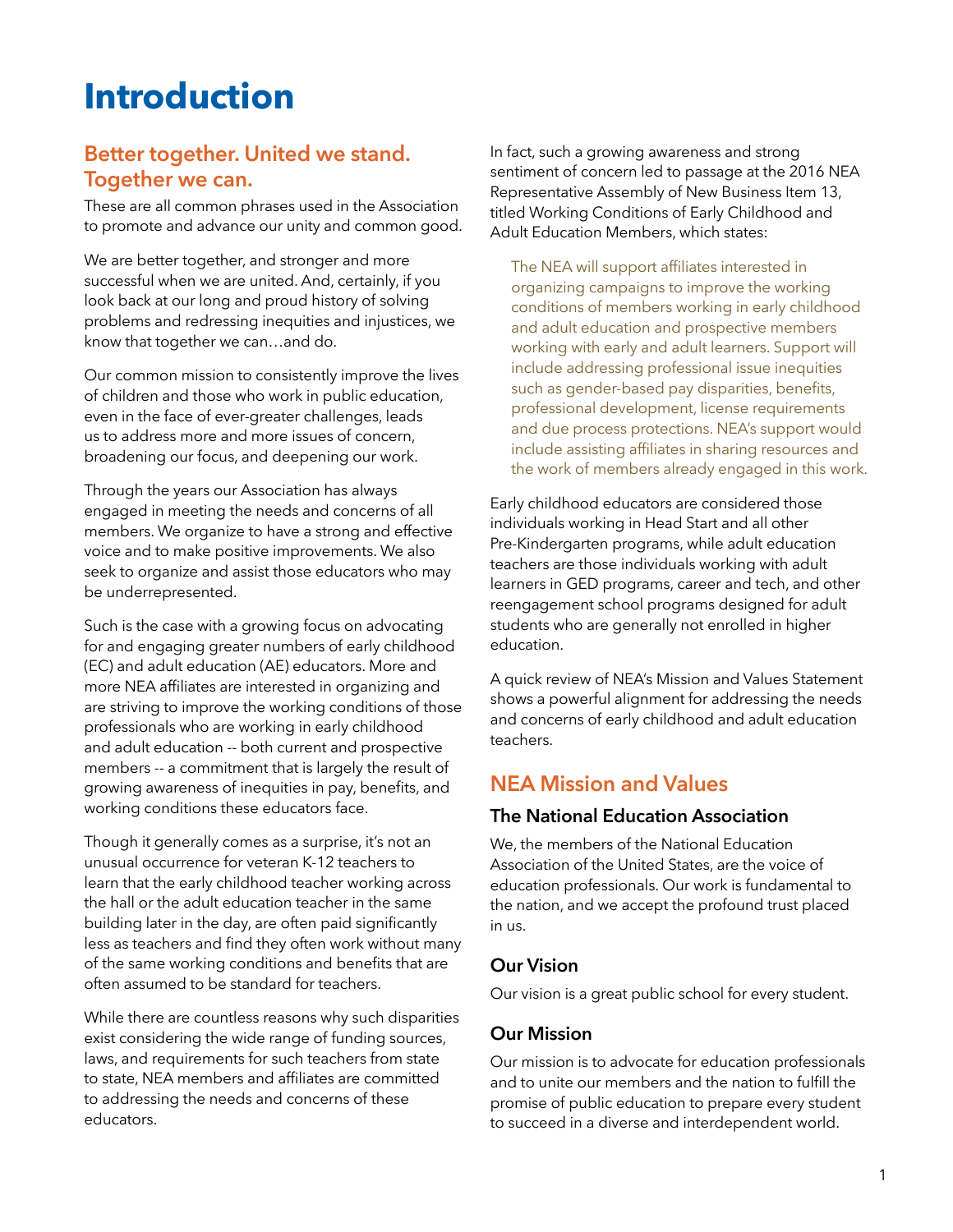# **Introduction**

# **Better together. United we stand. Together we can.**

These are all common phrases used in the Association to promote and advance our unity and common good.

We are better together, and stronger and more successful when we are united. And, certainly, if you look back at our long and proud history of solving problems and redressing inequities and injustices, we know that together we can…and do.

Our common mission to consistently improve the lives of children and those who work in public education, even in the face of ever-greater challenges, leads us to address more and more issues of concern, broadening our focus, and deepening our work.

Through the years our Association has always engaged in meeting the needs and concerns of all members. We organize to have a strong and effective voice and to make positive improvements. We also seek to organize and assist those educators who may be underrepresented.

Such is the case with a growing focus on advocating for and engaging greater numbers of early childhood (EC) and adult education (AE) educators. More and more NEA affiliates are interested in organizing and are striving to improve the working conditions of those professionals who are working in early childhood and adult education -- both current and prospective members -- a commitment that is largely the result of growing awareness of inequities in pay, benefits, and working conditions these educators face.

Though it generally comes as a surprise, it's not an unusual occurrence for veteran K-12 teachers to learn that the early childhood teacher working across the hall or the adult education teacher in the same building later in the day, are often paid significantly less as teachers and find they often work without many of the same working conditions and benefits that are often assumed to be standard for teachers.

While there are countless reasons why such disparities exist considering the wide range of funding sources, laws, and requirements for such teachers from state to state, NEA members and affiliates are committed to addressing the needs and concerns of these educators.

In fact, such a growing awareness and strong sentiment of concern led to passage at the 2016 NEA Representative Assembly of New Business Item 13, titled Working Conditions of Early Childhood and Adult Education Members, which states:

The NEA will support affiliates interested in organizing campaigns to improve the working conditions of members working in early childhood and adult education and prospective members working with early and adult learners. Support will include addressing professional issue inequities such as gender-based pay disparities, benefits, professional development, license requirements and due process protections. NEA's support would include assisting affiliates in sharing resources and the work of members already engaged in this work.

Early childhood educators are considered those individuals working in Head Start and all other Pre-Kindergarten programs, while adult education teachers are those individuals working with adult learners in GED programs, career and tech, and other reengagement school programs designed for adult students who are generally not enrolled in higher education.

A quick review of NEA's Mission and Values Statement shows a powerful alignment for addressing the needs and concerns of early childhood and adult education teachers.

# **NEA Mission and Values**

# **The National Education Association**

We, the members of the National Education Association of the United States, are the voice of education professionals. Our work is fundamental to the nation, and we accept the profound trust placed in us.

# **Our Vision**

Our vision is a great public school for every student.

# **Our Mission**

Our mission is to advocate for education professionals and to unite our members and the nation to fulfill the promise of public education to prepare every student to succeed in a diverse and interdependent world.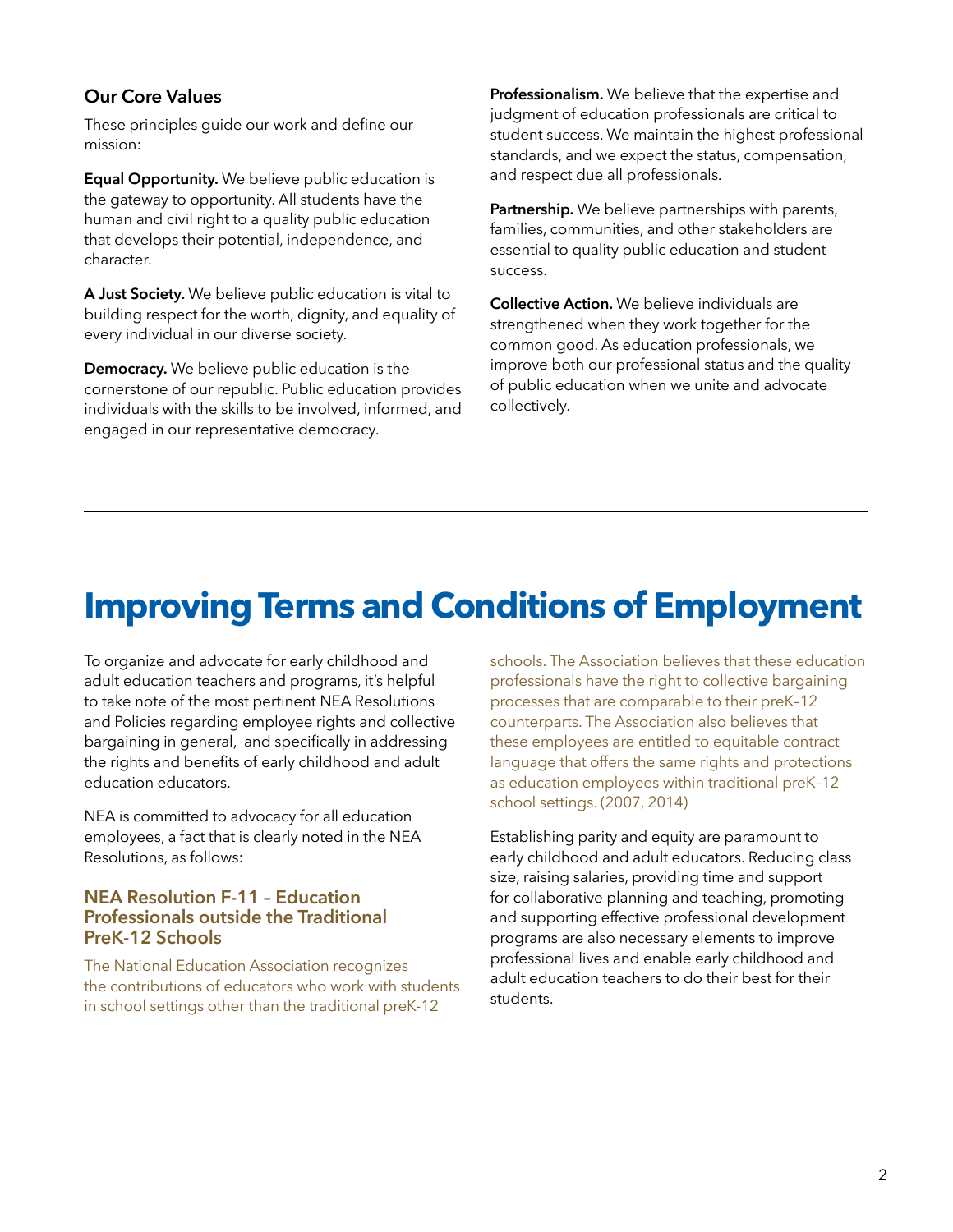### **Our Core Values**

These principles guide our work and define our mission:

**Equal Opportunity.** We believe public education is the gateway to opportunity. All students have the human and civil right to a quality public education that develops their potential, independence, and character.

**A Just Society.** We believe public education is vital to building respect for the worth, dignity, and equality of every individual in our diverse society.

**Democracy.** We believe public education is the cornerstone of our republic. Public education provides individuals with the skills to be involved, informed, and engaged in our representative democracy.

**Professionalism.** We believe that the expertise and judgment of education professionals are critical to student success. We maintain the highest professional standards, and we expect the status, compensation, and respect due all professionals.

**Partnership.** We believe partnerships with parents, families, communities, and other stakeholders are essential to quality public education and student success.

**Collective Action.** We believe individuals are strengthened when they work together for the common good. As education professionals, we improve both our professional status and the quality of public education when we unite and advocate collectively.

# **Improving Terms and Conditions of Employment**

To organize and advocate for early childhood and adult education teachers and programs, it's helpful to take note of the most pertinent NEA Resolutions and Policies regarding employee rights and collective bargaining in general, and specifically in addressing the rights and benefits of early childhood and adult education educators.

NEA is committed to advocacy for all education employees, a fact that is clearly noted in the NEA Resolutions, as follows:

#### **NEA Resolution F-11 – Education Professionals outside the Traditional PreK-12 Schools**

The National Education Association recognizes the contributions of educators who work with students in school settings other than the traditional preK-12

schools. The Association believes that these education professionals have the right to collective bargaining processes that are comparable to their preK–12 counterparts. The Association also believes that these employees are entitled to equitable contract language that offers the same rights and protections as education employees within traditional preK–12 school settings. (2007, 2014)

Establishing parity and equity are paramount to early childhood and adult educators. Reducing class size, raising salaries, providing time and support for collaborative planning and teaching, promoting and supporting effective professional development programs are also necessary elements to improve professional lives and enable early childhood and adult education teachers to do their best for their students.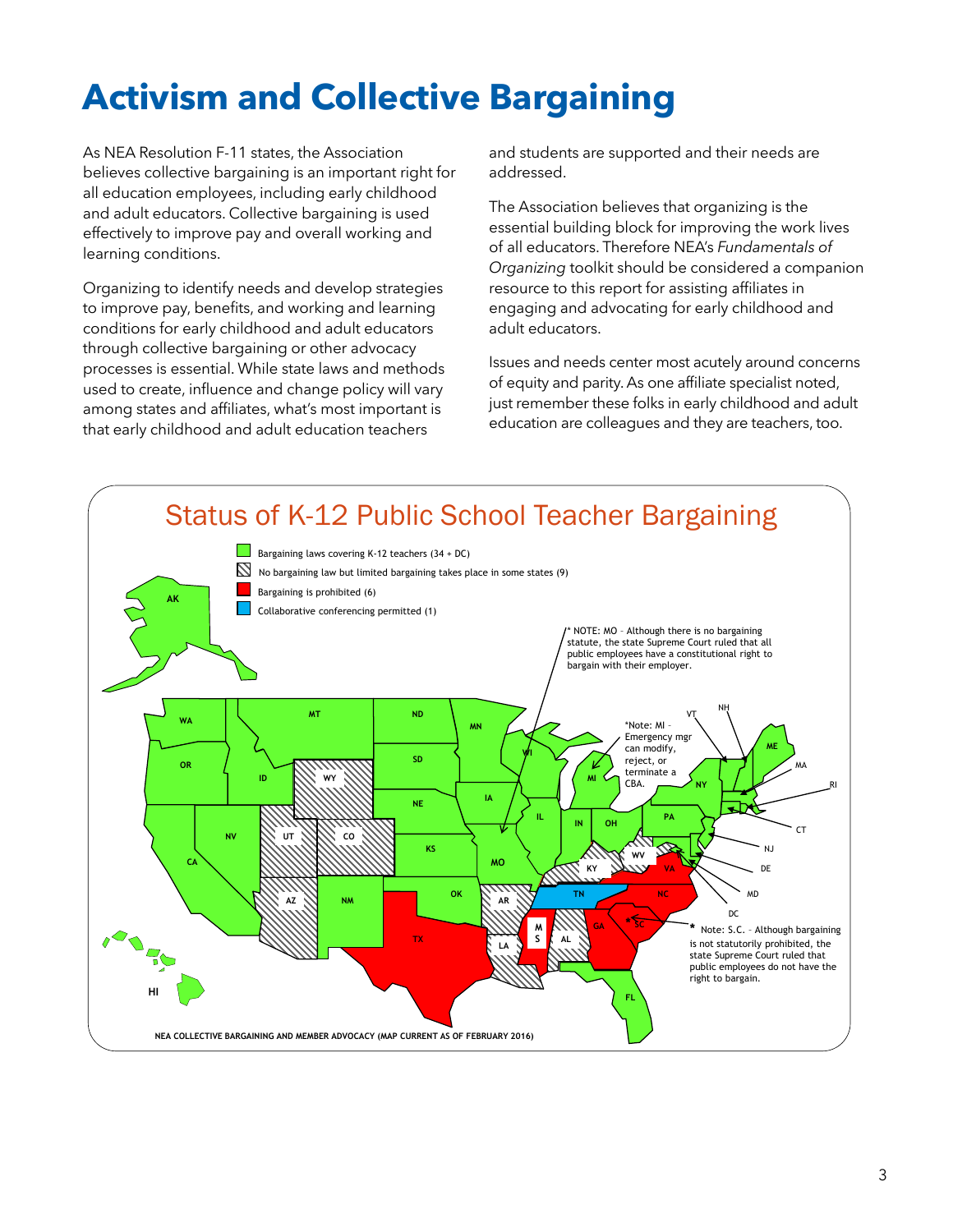# **Activism and Collective Bargaining** Adultion and Conceute Dargaming

As NEA Resolution F-11 states, the Association believes collective bargaining is an important right for all education employees, including early childhood and adult educators. Collective bargaining is used effectively to improve pay and overall working and learning conditions. all education employees, including early childhood<br>and adult educators, Collective bargaining is used. The Association believes that organizing is the effectively to improve pay and overall working and essential building block for improving the work lives

Organizing to identify needs and develop strategies to improve pay, benefits, and working and learning conditions for early childhood and adult educators adult educators.<br>In the concernsity of the concernsity of the concernsity of the concerns of the concerns of the concerns of th through collective bargaining or other advocacy processes is essential. While state laws and methods used to create, influence and change policy will vary of equity and parity. A among states and affiliates, what's most important is that early childhood and adult education teachers an odgin conective bargaming of other advocacy<br>processes is essential. While state laws and methods states and needs center most acutely around concerns

and students are supported and their needs are addressed.

of all educators. Therefore NEA's *Fundamentals of Organizing* toolkit should be considered a companion teachers. Pay, class size limits, planning and preparation time, seniority and layoff resource to this report for assisting affiliates in engaging and advocating for early childhood and adult educators.

> of equity and parity. As one affiliate specialist noted, just remember these folks in early childhood and adult education are colleagues and they are teachers, too.

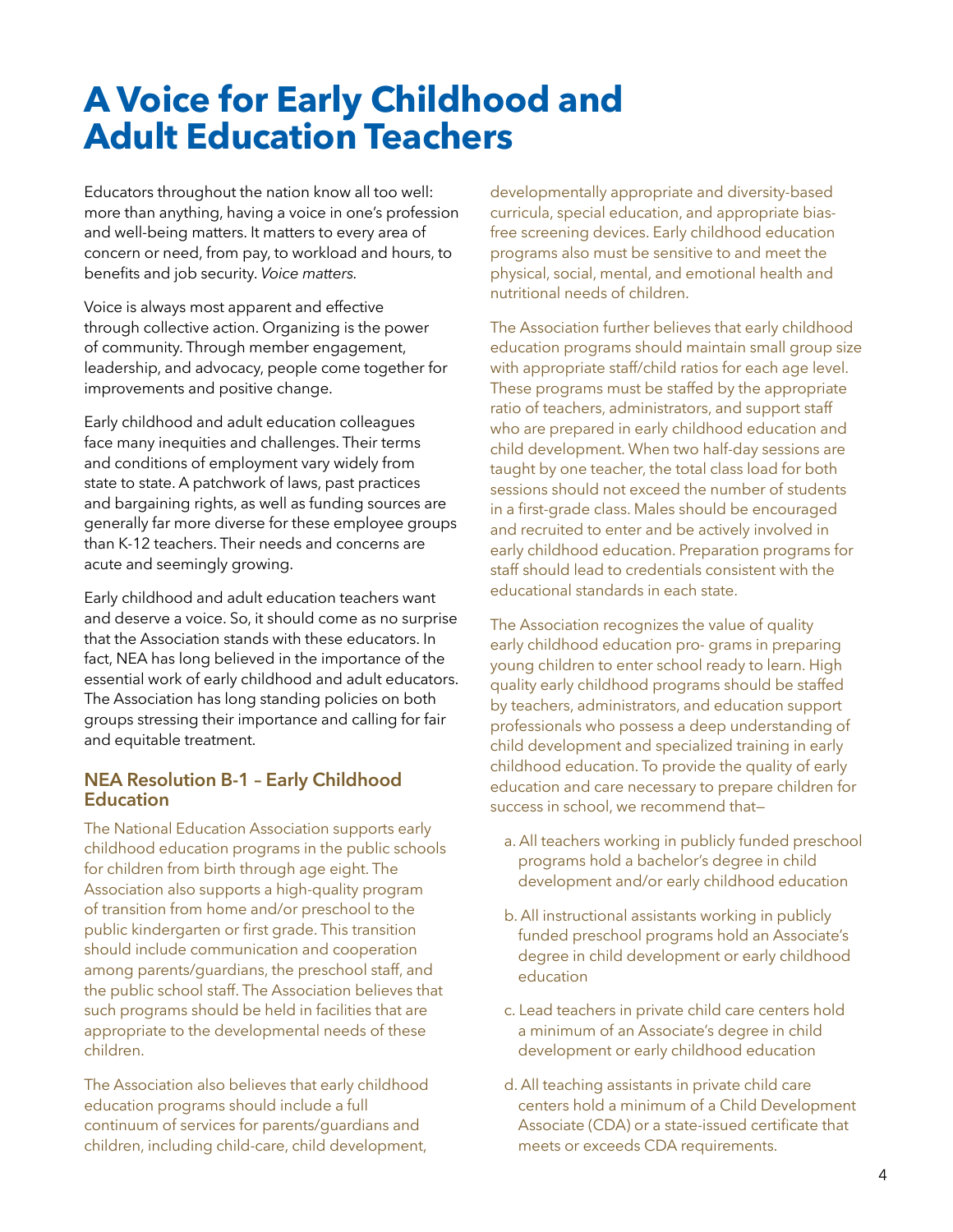# **A Voice for Early Childhood and Adult Education Teachers**

Educators throughout the nation know all too well: more than anything, having a voice in one's profession and well-being matters. It matters to every area of concern or need, from pay, to workload and hours, to benefits and job security. *Voice matters.*

Voice is always most apparent and effective through collective action. Organizing is the power of community. Through member engagement, leadership, and advocacy, people come together for improvements and positive change.

Early childhood and adult education colleagues face many inequities and challenges. Their terms and conditions of employment vary widely from state to state. A patchwork of laws, past practices and bargaining rights, as well as funding sources are generally far more diverse for these employee groups than K-12 teachers. Their needs and concerns are acute and seemingly growing.

Early childhood and adult education teachers want and deserve a voice. So, it should come as no surprise that the Association stands with these educators. In fact, NEA has long believed in the importance of the essential work of early childhood and adult educators. The Association has long standing policies on both groups stressing their importance and calling for fair and equitable treatment.

### **NEA Resolution B-1 – Early Childhood Education**

The National Education Association supports early childhood education programs in the public schools for children from birth through age eight. The Association also supports a high-quality program of transition from home and/or preschool to the public kindergarten or first grade. This transition should include communication and cooperation among parents/guardians, the preschool staff, and the public school staff. The Association believes that such programs should be held in facilities that are appropriate to the developmental needs of these children.

The Association also believes that early childhood education programs should include a full continuum of services for parents/guardians and children, including child-care, child development,

developmentally appropriate and diversity-based curricula, special education, and appropriate biasfree screening devices. Early childhood education programs also must be sensitive to and meet the physical, social, mental, and emotional health and nutritional needs of children.

The Association further believes that early childhood education programs should maintain small group size with appropriate staff/child ratios for each age level. These programs must be staffed by the appropriate ratio of teachers, administrators, and support staff who are prepared in early childhood education and child development. When two half-day sessions are taught by one teacher, the total class load for both sessions should not exceed the number of students in a first-grade class. Males should be encouraged and recruited to enter and be actively involved in early childhood education. Preparation programs for staff should lead to credentials consistent with the educational standards in each state.

The Association recognizes the value of quality early childhood education pro- grams in preparing young children to enter school ready to learn. High quality early childhood programs should be staffed by teachers, administrators, and education support professionals who possess a deep understanding of child development and specialized training in early childhood education. To provide the quality of early education and care necessary to prepare children for success in school, we recommend that—

- a. All teachers working in publicly funded preschool programs hold a bachelor's degree in child development and/or early childhood education
- b. All instructional assistants working in publicly funded preschool programs hold an Associate's degree in child development or early childhood education
- c. Lead teachers in private child care centers hold a minimum of an Associate's degree in child development or early childhood education
- d. All teaching assistants in private child care centers hold a minimum of a Child Development Associate (CDA) or a state-issued certificate that meets or exceeds CDA requirements.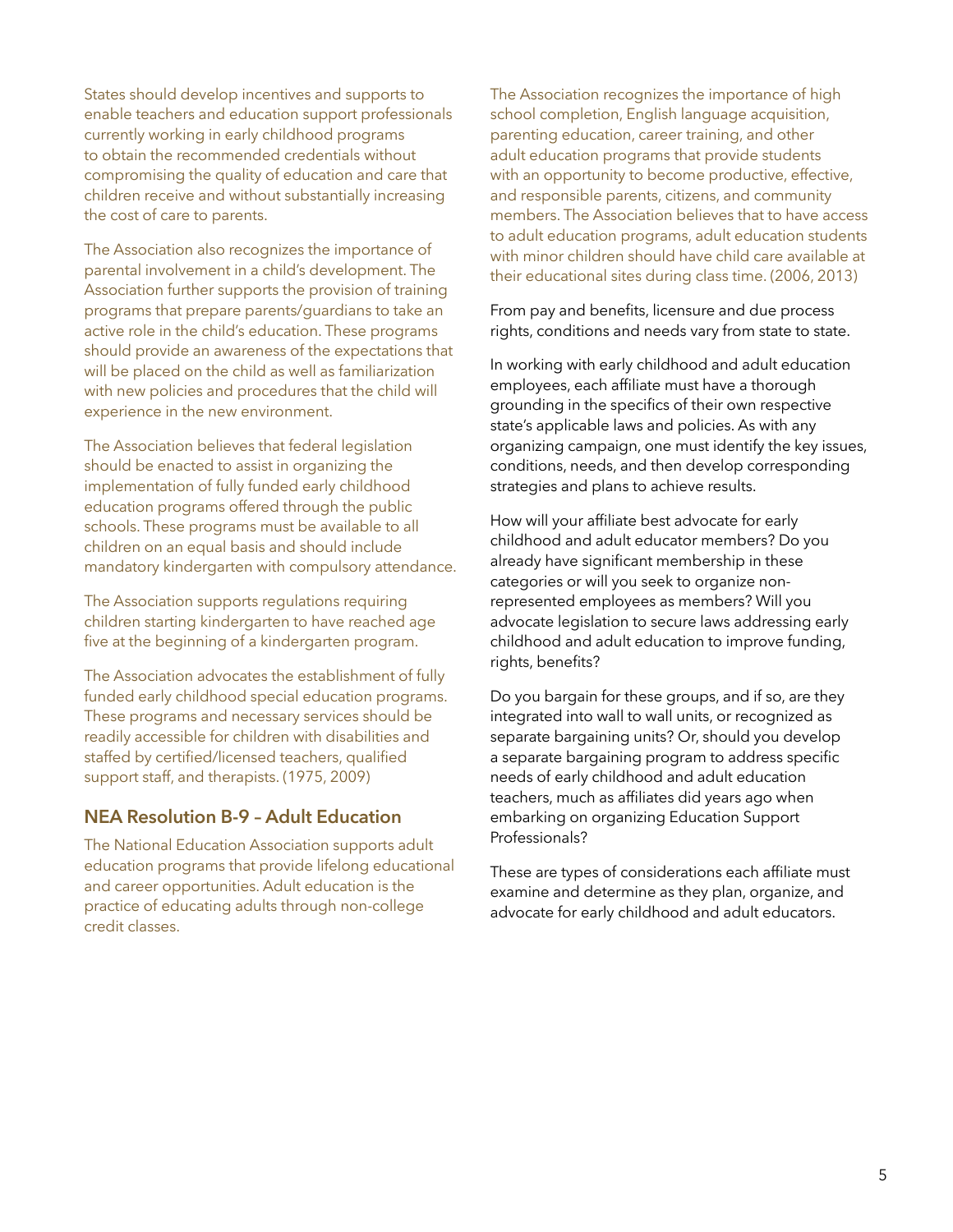States should develop incentives and supports to enable teachers and education support professionals currently working in early childhood programs to obtain the recommended credentials without compromising the quality of education and care that children receive and without substantially increasing the cost of care to parents.

The Association also recognizes the importance of parental involvement in a child's development. The Association further supports the provision of training programs that prepare parents/guardians to take an active role in the child's education. These programs should provide an awareness of the expectations that will be placed on the child as well as familiarization with new policies and procedures that the child will experience in the new environment.

The Association believes that federal legislation should be enacted to assist in organizing the implementation of fully funded early childhood education programs offered through the public schools. These programs must be available to all children on an equal basis and should include mandatory kindergarten with compulsory attendance.

The Association supports regulations requiring children starting kindergarten to have reached age five at the beginning of a kindergarten program.

The Association advocates the establishment of fully funded early childhood special education programs. These programs and necessary services should be readily accessible for children with disabilities and staffed by certified/licensed teachers, qualified support staff, and therapists. (1975, 2009)

### **NEA Resolution B-9 – Adult Education**

The National Education Association supports adult education programs that provide lifelong educational and career opportunities. Adult education is the practice of educating adults through non-college credit classes.

The Association recognizes the importance of high school completion, English language acquisition, parenting education, career training, and other adult education programs that provide students with an opportunity to become productive, effective, and responsible parents, citizens, and community members. The Association believes that to have access to adult education programs, adult education students with minor children should have child care available at their educational sites during class time. (2006, 2013)

From pay and benefits, licensure and due process rights, conditions and needs vary from state to state.

In working with early childhood and adult education employees, each affiliate must have a thorough grounding in the specifics of their own respective state's applicable laws and policies. As with any organizing campaign, one must identify the key issues, conditions, needs, and then develop corresponding strategies and plans to achieve results.

How will your affiliate best advocate for early childhood and adult educator members? Do you already have significant membership in these categories or will you seek to organize nonrepresented employees as members? Will you advocate legislation to secure laws addressing early childhood and adult education to improve funding, rights, benefits?

Do you bargain for these groups, and if so, are they integrated into wall to wall units, or recognized as separate bargaining units? Or, should you develop a separate bargaining program to address specific needs of early childhood and adult education teachers, much as affiliates did years ago when embarking on organizing Education Support Professionals?

These are types of considerations each affiliate must examine and determine as they plan, organize, and advocate for early childhood and adult educators.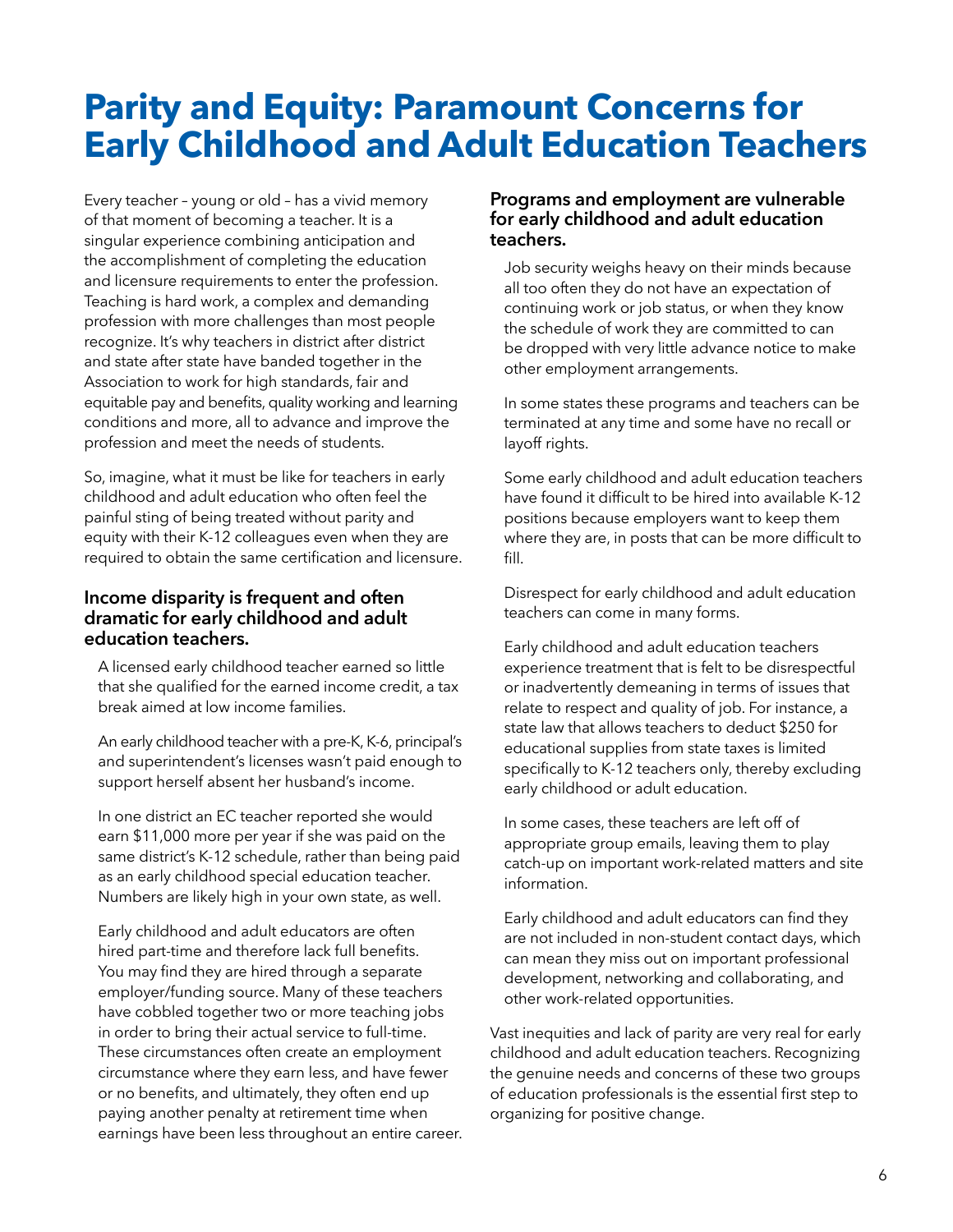# **Parity and Equity: Paramount Concerns for Early Childhood and Adult Education Teachers**

Every teacher – young or old – has a vivid memory of that moment of becoming a teacher. It is a singular experience combining anticipation and the accomplishment of completing the education and licensure requirements to enter the profession. Teaching is hard work, a complex and demanding profession with more challenges than most people recognize. It's why teachers in district after district and state after state have banded together in the Association to work for high standards, fair and equitable pay and benefits, quality working and learning conditions and more, all to advance and improve the profession and meet the needs of students.

So, imagine, what it must be like for teachers in early childhood and adult education who often feel the painful sting of being treated without parity and equity with their K-12 colleagues even when they are required to obtain the same certification and licensure.

### **Income disparity is frequent and often dramatic for early childhood and adult education teachers.**

A licensed early childhood teacher earned so little that she qualified for the earned income credit, a tax break aimed at low income families.

An early childhood teacher with a pre-K, K-6, principal's and superintendent's licenses wasn't paid enough to support herself absent her husband's income.

In one district an EC teacher reported she would earn \$11,000 more per year if she was paid on the same district's K-12 schedule, rather than being paid as an early childhood special education teacher. Numbers are likely high in your own state, as well.

Early childhood and adult educators are often hired part-time and therefore lack full benefits. You may find they are hired through a separate employer/funding source. Many of these teachers have cobbled together two or more teaching jobs in order to bring their actual service to full-time. These circumstances often create an employment circumstance where they earn less, and have fewer or no benefits, and ultimately, they often end up paying another penalty at retirement time when earnings have been less throughout an entire career.

### **Programs and employment are vulnerable for early childhood and adult education teachers.**

Job security weighs heavy on their minds because all too often they do not have an expectation of continuing work or job status, or when they know the schedule of work they are committed to can be dropped with very little advance notice to make other employment arrangements.

In some states these programs and teachers can be terminated at any time and some have no recall or layoff rights.

Some early childhood and adult education teachers have found it difficult to be hired into available K-12 positions because employers want to keep them where they are, in posts that can be more difficult to fill.

Disrespect for early childhood and adult education teachers can come in many forms.

Early childhood and adult education teachers experience treatment that is felt to be disrespectful or inadvertently demeaning in terms of issues that relate to respect and quality of job. For instance, a state law that allows teachers to deduct \$250 for educational supplies from state taxes is limited specifically to K-12 teachers only, thereby excluding early childhood or adult education.

In some cases, these teachers are left off of appropriate group emails, leaving them to play catch-up on important work-related matters and site information.

Early childhood and adult educators can find they are not included in non-student contact days, which can mean they miss out on important professional development, networking and collaborating, and other work-related opportunities.

Vast inequities and lack of parity are very real for early childhood and adult education teachers. Recognizing the genuine needs and concerns of these two groups of education professionals is the essential first step to organizing for positive change.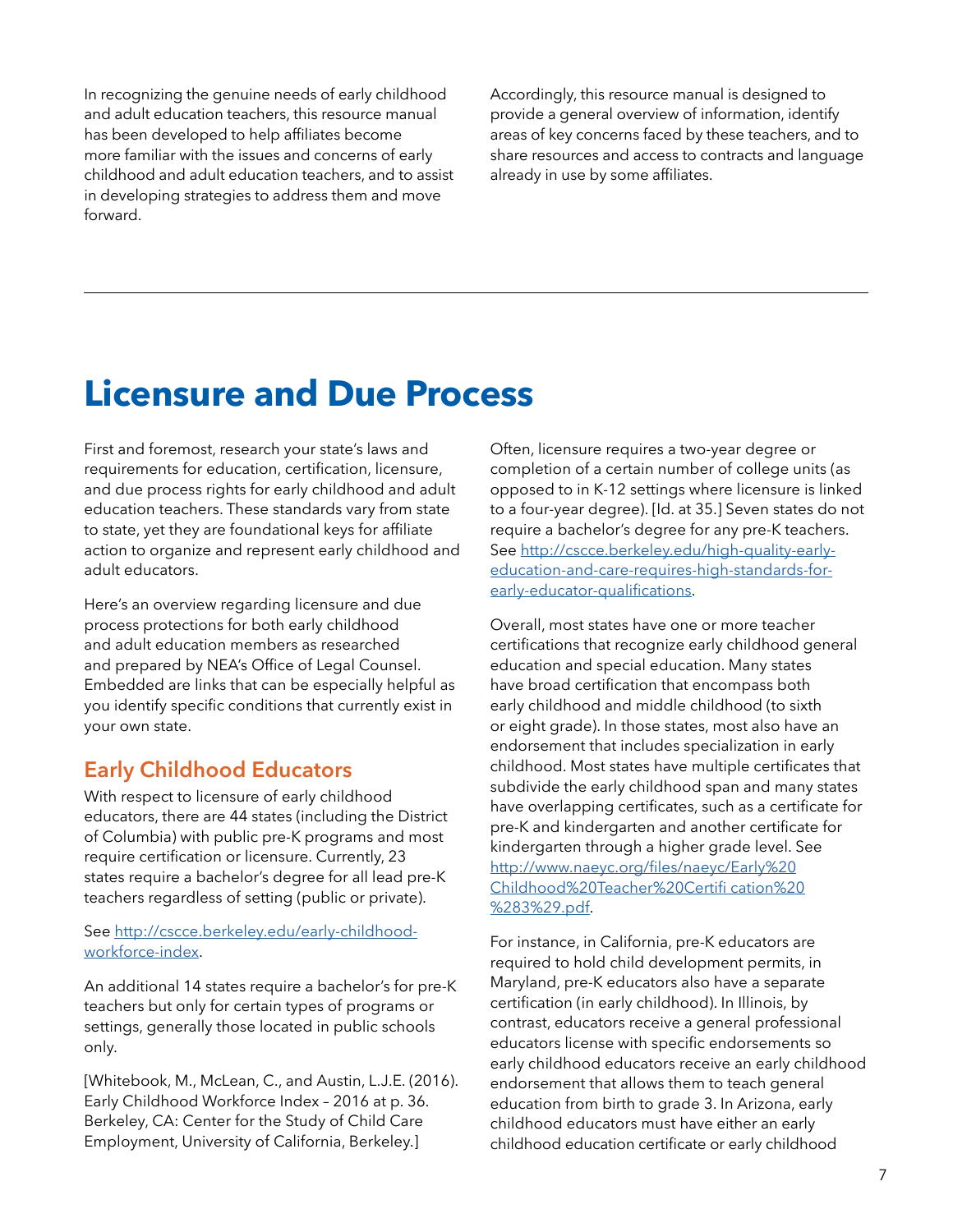In recognizing the genuine needs of early childhood and adult education teachers, this resource manual has been developed to help affiliates become more familiar with the issues and concerns of early childhood and adult education teachers, and to assist in developing strategies to address them and move forward.

Accordingly, this resource manual is designed to provide a general overview of information, identify areas of key concerns faced by these teachers, and to share resources and access to contracts and language already in use by some affiliates.

# **Licensure and Due Process**

First and foremost, research your state's laws and requirements for education, certification, licensure, and due process rights for early childhood and adult education teachers. These standards vary from state to state, yet they are foundational keys for affiliate action to organize and represent early childhood and adult educators.

Here's an overview regarding licensure and due process protections for both early childhood and adult education members as researched and prepared by NEA's Office of Legal Counsel. Embedded are links that can be especially helpful as you identify specific conditions that currently exist in your own state.

# **Early Childhood Educators**

With respect to licensure of early childhood educators, there are 44 states (including the District of Columbia) with public pre-K programs and most require certification or licensure. Currently, 23 states require a bachelor's degree for all lead pre-K teachers regardless of setting (public or private).

#### See [http://cscce.berkeley.edu/early-childhood](http://cscce.berkeley.edu/early-childhood-workforce-index/)[workforce-index.](http://cscce.berkeley.edu/early-childhood-workforce-index/)

An additional 14 states require a bachelor's for pre-K teachers but only for certain types of programs or settings, generally those located in public schools only.

[Whitebook, M., McLean, C., and Austin, L.J.E. (2016). Early Childhood Workforce Index – 2016 at p. 36. Berkeley, CA: Center for the Study of Child Care Employment, University of California, Berkeley.]

Often, licensure requires a two-year degree or completion of a certain number of college units (as opposed to in K-12 settings where licensure is linked to a four-year degree). [Id. at 35.] Seven states do not require a bachelor's degree for any pre-K teachers. See [http://cscce.berkeley.edu/high-quality-early](http://cscce.berkeley.edu/high-quality-early-education-and-care-requires-high-standards-for-early-educator-qualifications/)[education-and-care-requires-high-standards-for](http://cscce.berkeley.edu/high-quality-early-education-and-care-requires-high-standards-for-early-educator-qualifications/)[early-educator-qualifications](http://cscce.berkeley.edu/high-quality-early-education-and-care-requires-high-standards-for-early-educator-qualifications/).

Overall, most states have one or more teacher certifications that recognize early childhood general education and special education. Many states have broad certification that encompass both early childhood and middle childhood (to sixth or eight grade). In those states, most also have an endorsement that includes specialization in early childhood. Most states have multiple certificates that subdivide the early childhood span and many states have overlapping certificates, such as a certificate for pre-K and kindergarten and another certificate for kindergarten through a higher grade level. See [http://www.naeyc.org/files/naeyc/Early%20](http://www.naeyc.org/files/naeyc/Early%20Childhood%20Teacher%20Certifi cation%20%283%29.pdf) [Childhood%20Teacher%20Certifi cation%20](http://www.naeyc.org/files/naeyc/Early%20Childhood%20Teacher%20Certifi cation%20%283%29.pdf) [%283%29.pdf](http://www.naeyc.org/files/naeyc/Early%20Childhood%20Teacher%20Certifi cation%20%283%29.pdf).

For instance, in California, pre-K educators are required to hold child development permits, in Maryland, pre-K educators also have a separate certification (in early childhood). In Illinois, by contrast, educators receive a general professional educators license with specific endorsements so early childhood educators receive an early childhood endorsement that allows them to teach general education from birth to grade 3. In Arizona, early childhood educators must have either an early childhood education certificate or early childhood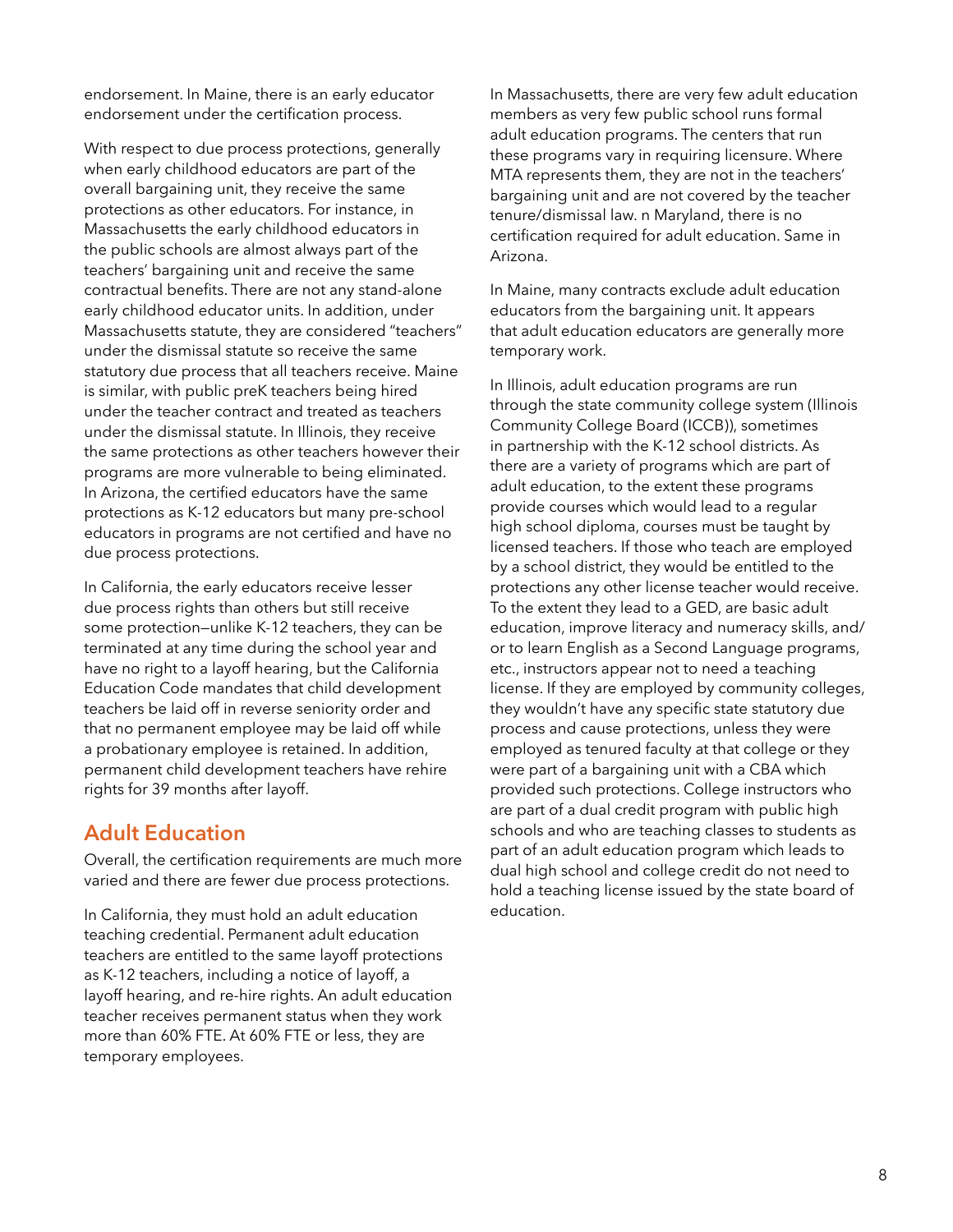endorsement. In Maine, there is an early educator endorsement under the certification process.

With respect to due process protections, generally when early childhood educators are part of the overall bargaining unit, they receive the same protections as other educators. For instance, in Massachusetts the early childhood educators in the public schools are almost always part of the teachers' bargaining unit and receive the same contractual benefits. There are not any stand-alone early childhood educator units. In addition, under Massachusetts statute, they are considered "teachers" under the dismissal statute so receive the same statutory due process that all teachers receive. Maine is similar, with public preK teachers being hired under the teacher contract and treated as teachers under the dismissal statute. In Illinois, they receive the same protections as other teachers however their programs are more vulnerable to being eliminated. In Arizona, the certified educators have the same protections as K-12 educators but many pre-school educators in programs are not certified and have no due process protections.

In California, the early educators receive lesser due process rights than others but still receive some protection—unlike K-12 teachers, they can be terminated at any time during the school year and have no right to a layoff hearing, but the California Education Code mandates that child development teachers be laid off in reverse seniority order and that no permanent employee may be laid off while a probationary employee is retained. In addition, permanent child development teachers have rehire rights for 39 months after layoff.

# **Adult Education**

Overall, the certification requirements are much more varied and there are fewer due process protections.

In California, they must hold an adult education teaching credential. Permanent adult education teachers are entitled to the same layoff protections as K-12 teachers, including a notice of layoff, a layoff hearing, and re-hire rights. An adult education teacher receives permanent status when they work more than 60% FTE. At 60% FTE or less, they are temporary employees.

In Massachusetts, there are very few adult education members as very few public school runs formal adult education programs. The centers that run these programs vary in requiring licensure. Where MTA represents them, they are not in the teachers' bargaining unit and are not covered by the teacher tenure/dismissal law. n Maryland, there is no certification required for adult education. Same in Arizona.

In Maine, many contracts exclude adult education educators from the bargaining unit. It appears that adult education educators are generally more temporary work.

In Illinois, adult education programs are run through the state community college system (Illinois Community College Board (ICCB)), sometimes in partnership with the K-12 school districts. As there are a variety of programs which are part of adult education, to the extent these programs provide courses which would lead to a regular high school diploma, courses must be taught by licensed teachers. If those who teach are employed by a school district, they would be entitled to the protections any other license teacher would receive. To the extent they lead to a GED, are basic adult education, improve literacy and numeracy skills, and/ or to learn English as a Second Language programs, etc., instructors appear not to need a teaching license. If they are employed by community colleges, they wouldn't have any specific state statutory due process and cause protections, unless they were employed as tenured faculty at that college or they were part of a bargaining unit with a CBA which provided such protections. College instructors who are part of a dual credit program with public high schools and who are teaching classes to students as part of an adult education program which leads to dual high school and college credit do not need to hold a teaching license issued by the state board of education.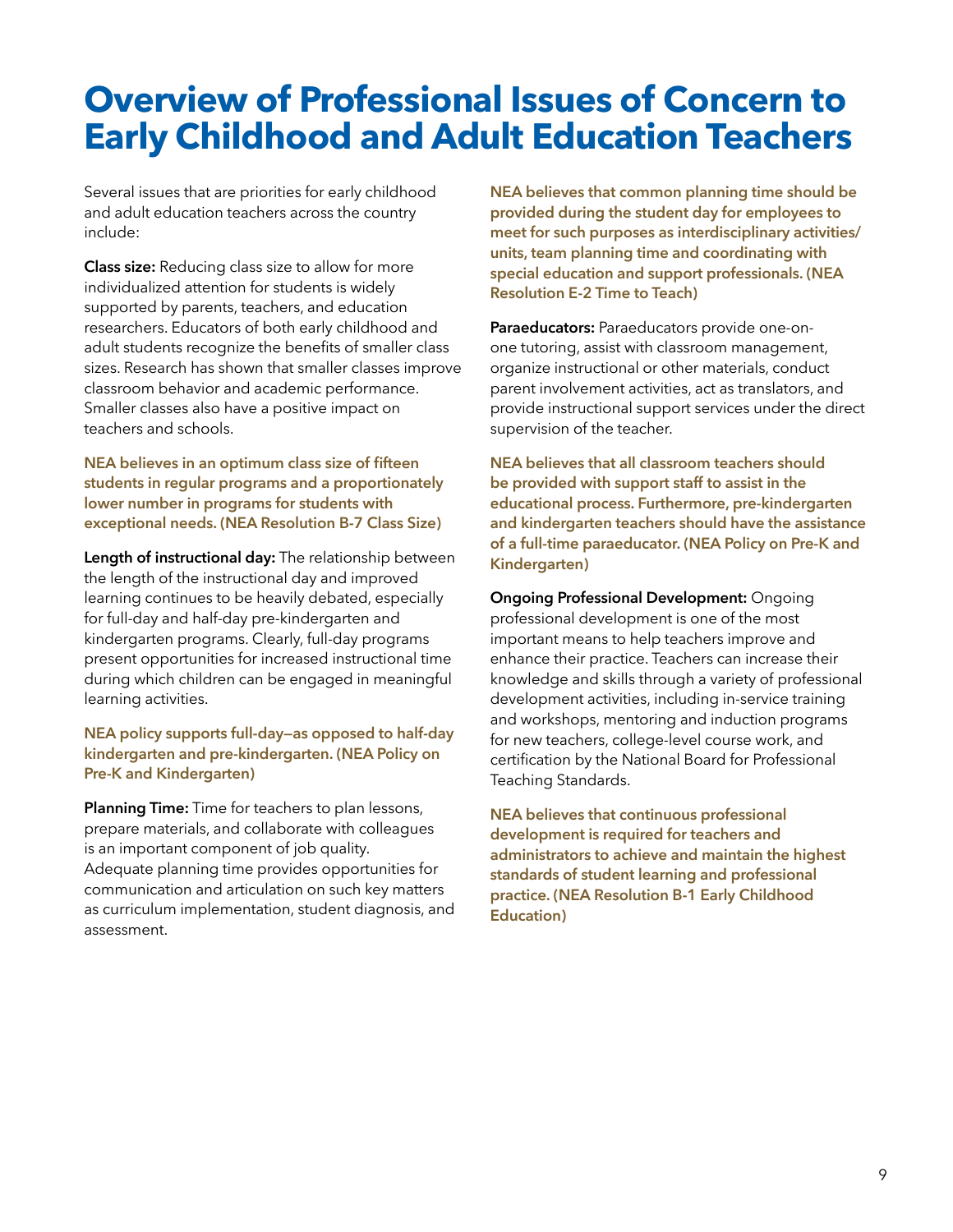# **Overview of Professional Issues of Concern to Early Childhood and Adult Education Teachers**

Several issues that are priorities for early childhood and adult education teachers across the country include:

**Class size:** Reducing class size to allow for more individualized attention for students is widely supported by parents, teachers, and education researchers. Educators of both early childhood and adult students recognize the benefits of smaller class sizes. Research has shown that smaller classes improve classroom behavior and academic performance. Smaller classes also have a positive impact on teachers and schools.

**NEA believes in an optimum class size of fifteen students in regular programs and a proportionately lower number in programs for students with exceptional needs. (NEA Resolution B-7 Class Size)** 

**Length of instructional day:** The relationship between the length of the instructional day and improved learning continues to be heavily debated, especially for full-day and half-day pre-kindergarten and kindergarten programs. Clearly, full-day programs present opportunities for increased instructional time during which children can be engaged in meaningful learning activities.

#### **NEA policy supports full-day—as opposed to half-day kindergarten and pre-kindergarten. (NEA Policy on Pre-K and Kindergarten)**

**Planning Time:** Time for teachers to plan lessons, prepare materials, and collaborate with colleagues is an important component of job quality. Adequate planning time provides opportunities for communication and articulation on such key matters as curriculum implementation, student diagnosis, and assessment.

**NEA believes that common planning time should be provided during the student day for employees to meet for such purposes as interdisciplinary activities/ units, team planning time and coordinating with special education and support professionals. (NEA Resolution E-2 Time to Teach)** 

**Paraeducators:** Paraeducators provide one-onone tutoring, assist with classroom management, organize instructional or other materials, conduct parent involvement activities, act as translators, and provide instructional support services under the direct supervision of the teacher.

**NEA believes that all classroom teachers should be provided with support staff to assist in the educational process. Furthermore, pre-kindergarten and kindergarten teachers should have the assistance of a full-time paraeducator. (NEA Policy on Pre-K and Kindergarten)**

**Ongoing Professional Development:** Ongoing professional development is one of the most important means to help teachers improve and enhance their practice. Teachers can increase their knowledge and skills through a variety of professional development activities, including in-service training and workshops, mentoring and induction programs for new teachers, college-level course work, and certification by the National Board for Professional Teaching Standards.

**NEA believes that continuous professional development is required for teachers and administrators to achieve and maintain the highest standards of student learning and professional practice. (NEA Resolution B-1 Early Childhood Education)**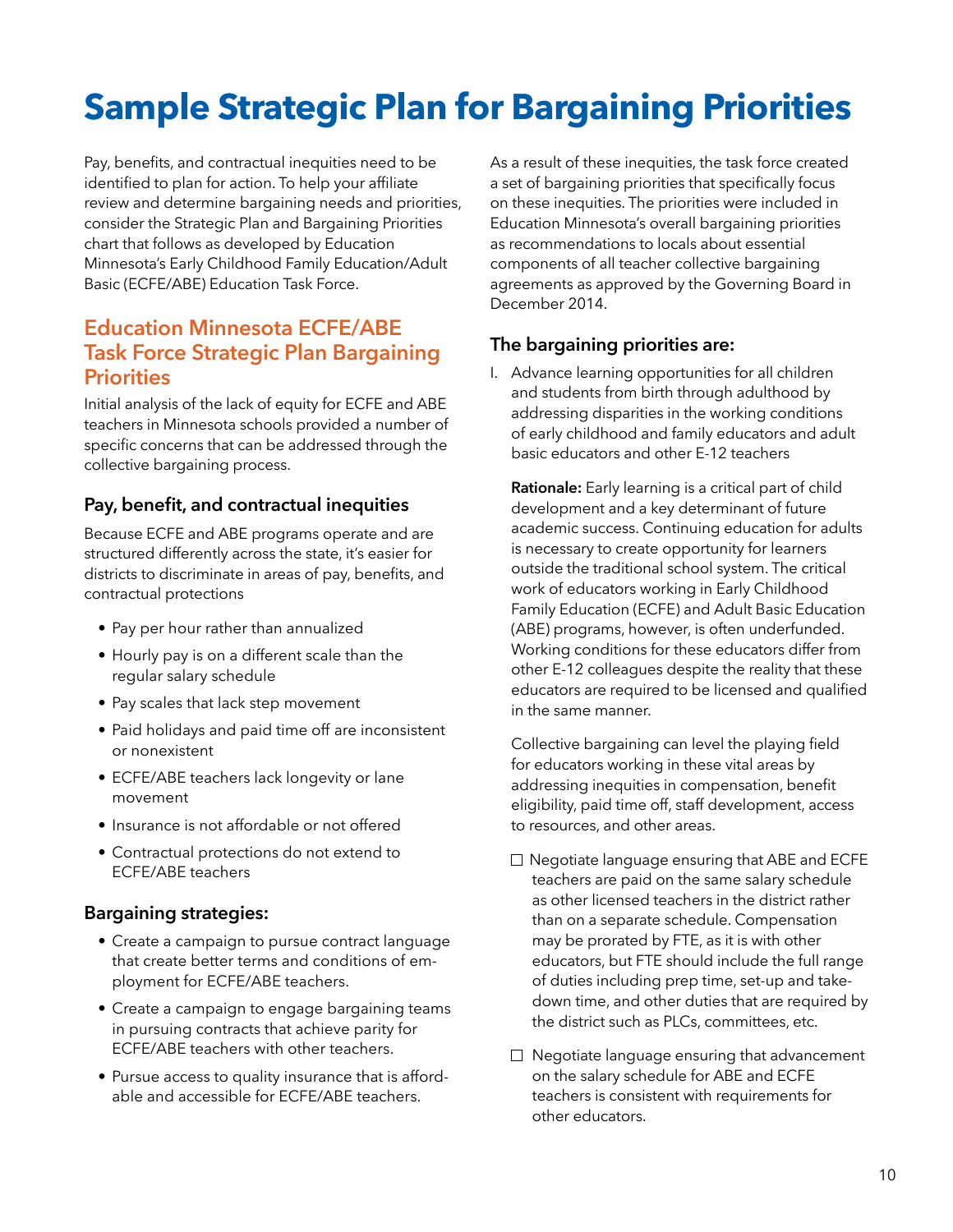# **Sample Strategic Plan for Bargaining Priorities**

Pay, benefits, and contractual inequities need to be identified to plan for action. To help your affiliate review and determine bargaining needs and priorities, consider the Strategic Plan and Bargaining Priorities chart that follows as developed by Education Minnesota's Early Childhood Family Education/Adult Basic (ECFE/ABE) Education Task Force.

# **Education Minnesota ECFE/ABE Task Force Strategic Plan Bargaining Priorities**

Initial analysis of the lack of equity for ECFE and ABE teachers in Minnesota schools provided a number of specific concerns that can be addressed through the collective bargaining process.

# **Pay, benefit, and contractual inequities**

Because ECFE and ABE programs operate and are structured differently across the state, it's easier for districts to discriminate in areas of pay, benefits, and contractual protections

- Pay per hour rather than annualized
- Hourly pay is on a different scale than the regular salary schedule
- Pay scales that lack step movement
- Paid holidays and paid time off are inconsistent or nonexistent
- ECFE/ABE teachers lack longevity or lane movement
- Insurance is not affordable or not offered
- Contractual protections do not extend to ECFE/ABE teachers

# **Bargaining strategies:**

- Create a campaign to pursue contract language that create better terms and conditions of employment for ECFE/ABE teachers.
- Create a campaign to engage bargaining teams in pursuing contracts that achieve parity for ECFE/ABE teachers with other teachers.
- Pursue access to quality insurance that is affordable and accessible for ECFE/ABE teachers.

As a result of these inequities, the task force created a set of bargaining priorities that specifically focus on these inequities. The priorities were included in Education Minnesota's overall bargaining priorities as recommendations to locals about essential components of all teacher collective bargaining agreements as approved by the Governing Board in December 2014.

# **The bargaining priorities are:**

I. Advance learning opportunities for all children and students from birth through adulthood by addressing disparities in the working conditions of early childhood and family educators and adult basic educators and other E-12 teachers

**Rationale:** Early learning is a critical part of child development and a key determinant of future academic success. Continuing education for adults is necessary to create opportunity for learners outside the traditional school system. The critical work of educators working in Early Childhood Family Education (ECFE) and Adult Basic Education (ABE) programs, however, is often underfunded. Working conditions for these educators differ from other E-12 colleagues despite the reality that these educators are required to be licensed and qualified in the same manner.

Collective bargaining can level the playing field for educators working in these vital areas by addressing inequities in compensation, benefit eligibility, paid time off, staff development, access to resources, and other areas.

- $\Box$  Negotiate language ensuring that ABE and ECFE teachers are paid on the same salary schedule as other licensed teachers in the district rather than on a separate schedule. Compensation may be prorated by FTE, as it is with other educators, but FTE should include the full range of duties including prep time, set-up and takedown time, and other duties that are required by the district such as PLCs, committees, etc.
- $\Box$  Negotiate language ensuring that advancement on the salary schedule for ABE and ECFE teachers is consistent with requirements for other educators.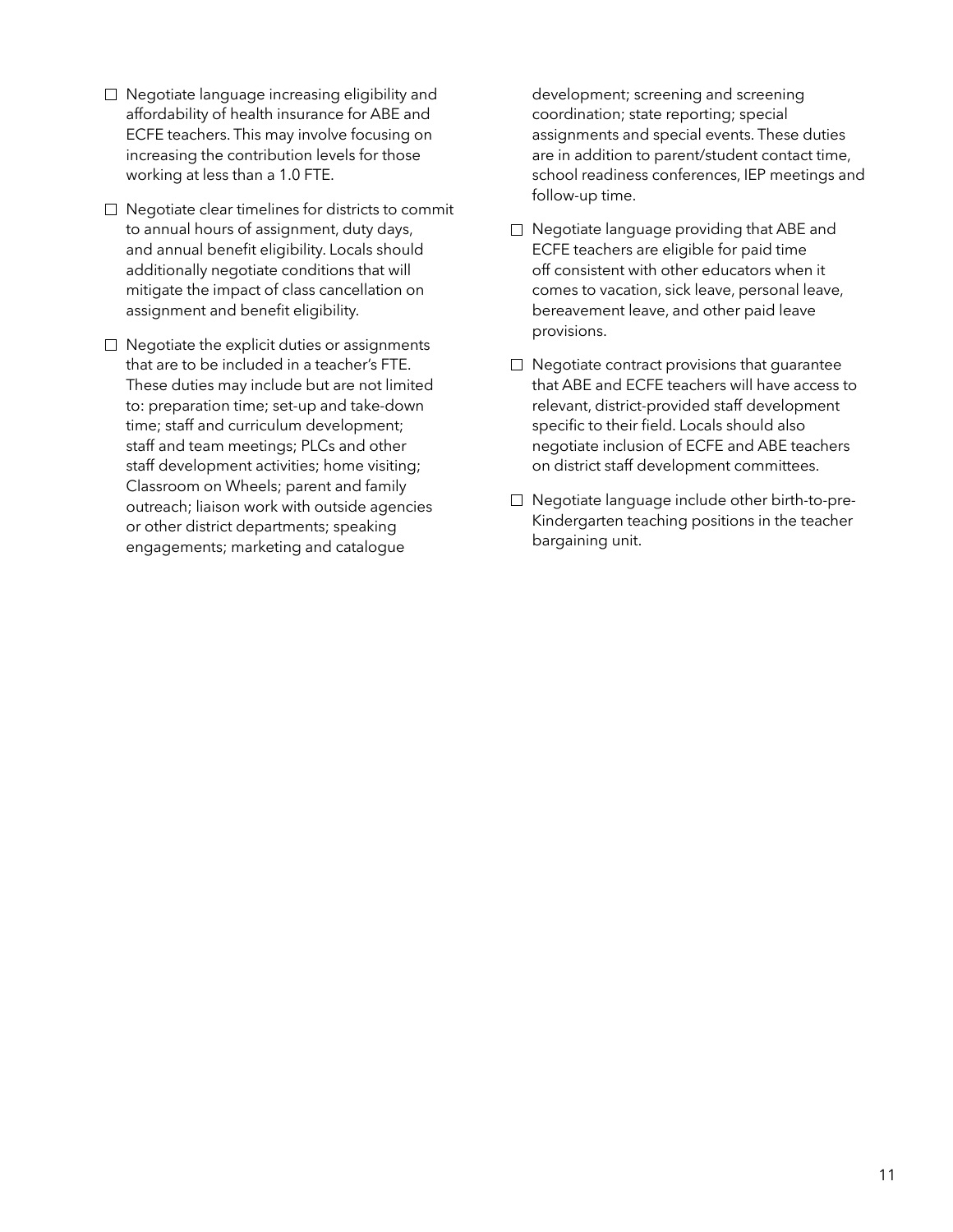- $\Box$  Negotiate language increasing eligibility and affordability of health insurance for ABE and ECFE teachers. This may involve focusing on increasing the contribution levels for those working at less than a 1.0 FTE.
- $\Box$  Negotiate clear timelines for districts to commit to annual hours of assignment, duty days, and annual benefit eligibility. Locals should additionally negotiate conditions that will mitigate the impact of class cancellation on assignment and benefit eligibility.
- $\Box$  Negotiate the explicit duties or assignments that are to be included in a teacher's FTE. These duties may include but are not limited to: preparation time; set-up and take-down time; staff and curriculum development; staff and team meetings; PLCs and other staff development activities; home visiting; Classroom on Wheels; parent and family outreach; liaison work with outside agencies or other district departments; speaking engagements; marketing and catalogue

development; screening and screening coordination; state reporting; special assignments and special events. These duties are in addition to parent/student contact time, school readiness conferences, IEP meetings and follow-up time.

- $\Box$  Negotiate language providing that ABE and ECFE teachers are eligible for paid time off consistent with other educators when it comes to vacation, sick leave, personal leave, bereavement leave, and other paid leave provisions.
- $\Box$  Negotiate contract provisions that quarantee that ABE and ECFE teachers will have access to relevant, district-provided staff development specific to their field. Locals should also negotiate inclusion of ECFE and ABE teachers on district staff development committees.
- $\Box$  Negotiate language include other birth-to-pre-Kindergarten teaching positions in the teacher bargaining unit.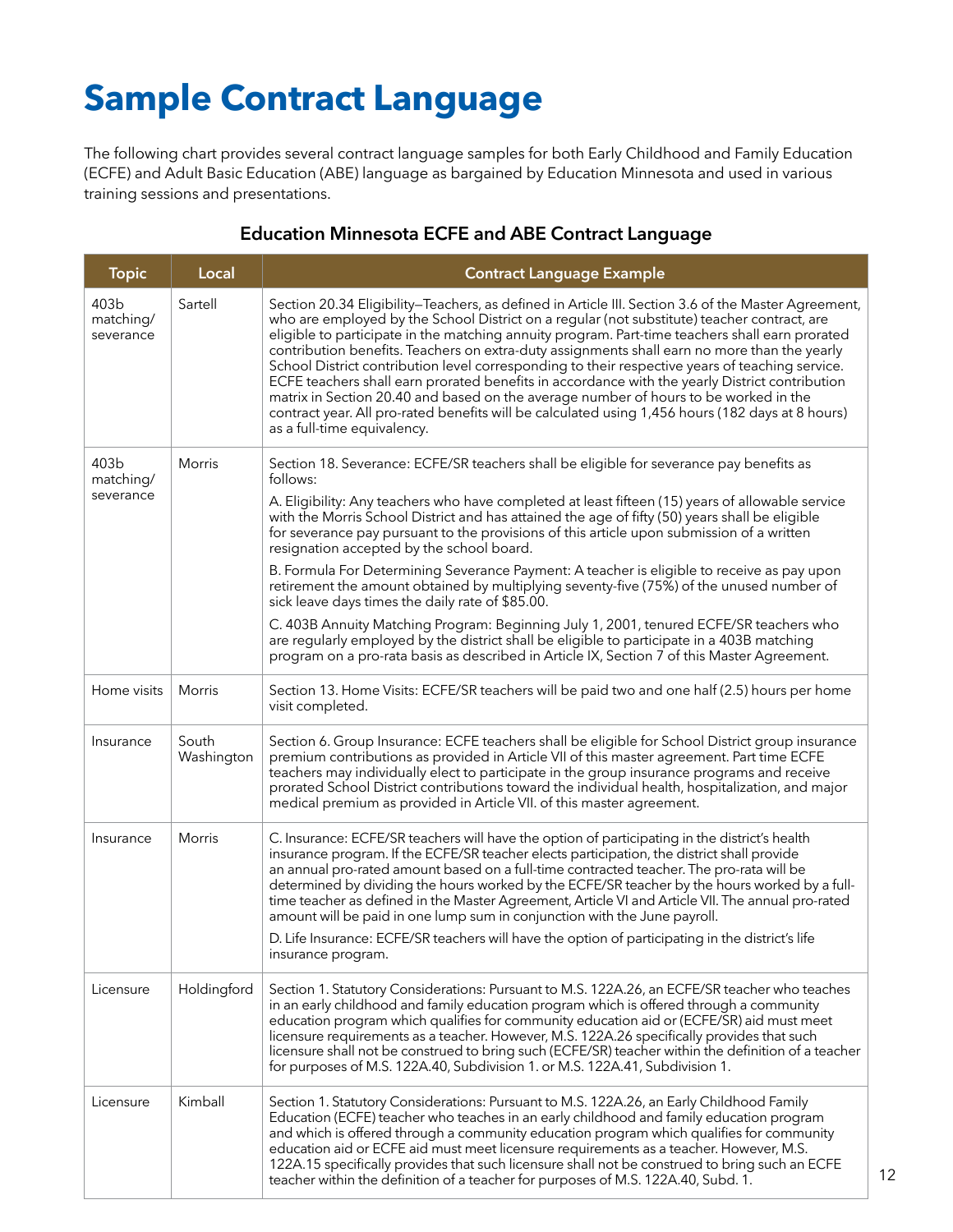# **Sample Contract Language**

The following chart provides several contract language samples for both Early Childhood and Family Education (ECFE) and Adult Basic Education (ABE) language as bargained by Education Minnesota and used in various training sessions and presentations.

| <b>Education Minnesota ECFE and ABE Contract Language</b> |  |  |
|-----------------------------------------------------------|--|--|
|-----------------------------------------------------------|--|--|

| <b>Topic</b>                   | Local               | <b>Contract Language Example</b>                                                                                                                                                                                                                                                                                                                                                                                                                                                                                                                                                                                                                                                                                                                                                                                                                                                                                                                                                         |
|--------------------------------|---------------------|------------------------------------------------------------------------------------------------------------------------------------------------------------------------------------------------------------------------------------------------------------------------------------------------------------------------------------------------------------------------------------------------------------------------------------------------------------------------------------------------------------------------------------------------------------------------------------------------------------------------------------------------------------------------------------------------------------------------------------------------------------------------------------------------------------------------------------------------------------------------------------------------------------------------------------------------------------------------------------------|
| 403b<br>matching/<br>severance | Sartell             | Section 20.34 Eligibility-Teachers, as defined in Article III. Section 3.6 of the Master Agreement,<br>who are employed by the School District on a regular (not substitute) teacher contract, are<br>eligible to participate in the matching annuity program. Part-time teachers shall earn prorated<br>contribution benefits. Teachers on extra-duty assignments shall earn no more than the yearly<br>School District contribution level corresponding to their respective years of teaching service.<br>ECFE teachers shall earn prorated benefits in accordance with the yearly District contribution<br>matrix in Section 20.40 and based on the average number of hours to be worked in the<br>contract year. All pro-rated benefits will be calculated using 1,456 hours (182 days at 8 hours)<br>as a full-time equivalency.                                                                                                                                                    |
| 403b<br>matching/<br>severance | Morris              | Section 18. Severance: ECFE/SR teachers shall be eligible for severance pay benefits as<br>follows:<br>A. Eligibility: Any teachers who have completed at least fifteen (15) years of allowable service<br>with the Morris School District and has attained the age of fifty (50) years shall be eligible<br>for severance pay pursuant to the provisions of this article upon submission of a written<br>resignation accepted by the school board.<br>B. Formula For Determining Severance Payment: A teacher is eligible to receive as pay upon<br>retirement the amount obtained by multiplying seventy-five (75%) of the unused number of<br>sick leave days times the daily rate of \$85.00.<br>C. 403B Annuity Matching Program: Beginning July 1, 2001, tenured ECFE/SR teachers who<br>are regularly employed by the district shall be eligible to participate in a 403B matching<br>program on a pro-rata basis as described in Article IX, Section 7 of this Master Agreement. |
| Home visits                    | Morris              | Section 13. Home Visits: ECFE/SR teachers will be paid two and one half (2.5) hours per home<br>visit completed.                                                                                                                                                                                                                                                                                                                                                                                                                                                                                                                                                                                                                                                                                                                                                                                                                                                                         |
| Insurance                      | South<br>Washington | Section 6. Group Insurance: ECFE teachers shall be eligible for School District group insurance<br>premium contributions as provided in Article VII of this master agreement. Part time ECFE<br>teachers may individually elect to participate in the group insurance programs and receive<br>prorated School District contributions toward the individual health, hospitalization, and major<br>medical premium as provided in Article VII. of this master agreement.                                                                                                                                                                                                                                                                                                                                                                                                                                                                                                                   |
| Insurance                      | Morris              | C. Insurance: ECFE/SR teachers will have the option of participating in the district's health<br>insurance program. If the ECFE/SR teacher elects participation, the district shall provide<br>an annual pro-rated amount based on a full-time contracted teacher. The pro-rata will be<br>determined by dividing the hours worked by the ECFE/SR teacher by the hours worked by a full-<br>time teacher as defined in the Master Agreement, Article VI and Article VII. The annual pro-rated<br>amount will be paid in one lump sum in conjunction with the June payroll.<br>D. Life Insurance: ECFE/SR teachers will have the option of participating in the district's life<br>insurance program.                                                                                                                                                                                                                                                                                     |
| Licensure                      | Holdingford         | Section 1. Statutory Considerations: Pursuant to M.S. 122A.26, an ECFE/SR teacher who teaches<br>in an early childhood and family education program which is offered through a community<br>education program which qualifies for community education aid or (ECFE/SR) aid must meet<br>licensure requirements as a teacher. However, M.S. 122A.26 specifically provides that such<br>licensure shall not be construed to bring such (ECFE/SR) teacher within the definition of a teacher<br>for purposes of M.S. 122A.40, Subdivision 1. or M.S. 122A.41, Subdivision 1.                                                                                                                                                                                                                                                                                                                                                                                                                |
| Licensure                      | Kimball             | Section 1. Statutory Considerations: Pursuant to M.S. 122A.26, an Early Childhood Family<br>Education (ECFE) teacher who teaches in an early childhood and family education program<br>and which is offered through a community education program which qualifies for community<br>education aid or ECFE aid must meet licensure requirements as a teacher. However, M.S.<br>122A.15 specifically provides that such licensure shall not be construed to bring such an ECFE<br>teacher within the definition of a teacher for purposes of M.S. 122A.40, Subd. 1.                                                                                                                                                                                                                                                                                                                                                                                                                         |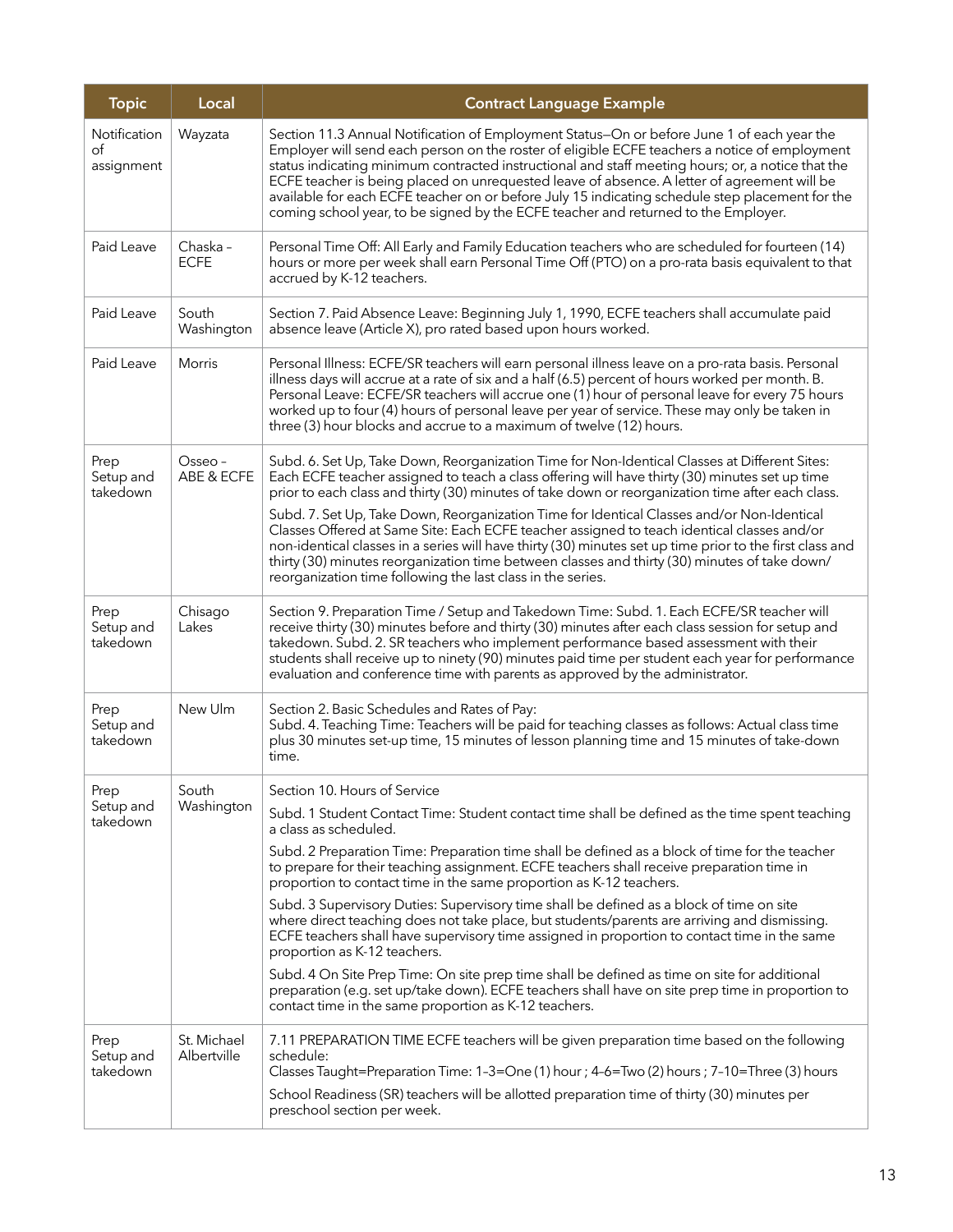| <b>Topic</b>                     | Local                      | <b>Contract Language Example</b>                                                                                                                                                                                                                                                                                                                                                                                                                                                                                                                                                         |
|----------------------------------|----------------------------|------------------------------------------------------------------------------------------------------------------------------------------------------------------------------------------------------------------------------------------------------------------------------------------------------------------------------------------------------------------------------------------------------------------------------------------------------------------------------------------------------------------------------------------------------------------------------------------|
| Notification<br>οf<br>assignment | Wayzata                    | Section 11.3 Annual Notification of Employment Status-On or before June 1 of each year the<br>Employer will send each person on the roster of eligible ECFE teachers a notice of employment<br>status indicating minimum contracted instructional and staff meeting hours; or, a notice that the<br>ECFE teacher is being placed on unrequested leave of absence. A letter of agreement will be<br>available for each ECFE teacher on or before July 15 indicating schedule step placement for the<br>coming school year, to be signed by the ECFE teacher and returned to the Employer. |
| Paid Leave                       | Chaska-<br><b>ECFE</b>     | Personal Time Off: All Early and Family Education teachers who are scheduled for fourteen (14)<br>hours or more per week shall earn Personal Time Off (PTO) on a pro-rata basis equivalent to that<br>accrued by K-12 teachers.                                                                                                                                                                                                                                                                                                                                                          |
| Paid Leave                       | South<br>Washington        | Section 7. Paid Absence Leave: Beginning July 1, 1990, ECFE teachers shall accumulate paid<br>absence leave (Article X), pro rated based upon hours worked.                                                                                                                                                                                                                                                                                                                                                                                                                              |
| Paid Leave                       | <b>Morris</b>              | Personal Illness: ECFE/SR teachers will earn personal illness leave on a pro-rata basis. Personal<br>illness days will accrue at a rate of six and a half (6.5) percent of hours worked per month. B.<br>Personal Leave: ECFE/SR teachers will accrue one (1) hour of personal leave for every 75 hours<br>worked up to four (4) hours of personal leave per year of service. These may only be taken in<br>three (3) hour blocks and accrue to a maximum of twelve (12) hours.                                                                                                          |
| Prep<br>Setup and<br>takedown    | Osseo -<br>ABE & ECFE      | Subd. 6. Set Up, Take Down, Reorganization Time for Non-Identical Classes at Different Sites:<br>Each ECFE teacher assigned to teach a class offering will have thirty (30) minutes set up time<br>prior to each class and thirty (30) minutes of take down or reorganization time after each class.                                                                                                                                                                                                                                                                                     |
|                                  |                            | Subd. 7. Set Up, Take Down, Reorganization Time for Identical Classes and/or Non-Identical<br>Classes Offered at Same Site: Each ECFE teacher assigned to teach identical classes and/or<br>non-identical classes in a series will have thirty (30) minutes set up time prior to the first class and<br>thirty (30) minutes reorganization time between classes and thirty (30) minutes of take down/<br>reorganization time following the last class in the series.                                                                                                                     |
| Prep<br>Setup and<br>takedown    | Chisago<br>Lakes           | Section 9. Preparation Time / Setup and Takedown Time: Subd. 1. Each ECFE/SR teacher will<br>receive thirty (30) minutes before and thirty (30) minutes after each class session for setup and<br>takedown. Subd. 2. SR teachers who implement performance based assessment with their<br>students shall receive up to ninety (90) minutes paid time per student each year for performance<br>evaluation and conference time with parents as approved by the administrator.                                                                                                              |
| Prep<br>Setup and<br>takedown    | New Ulm                    | Section 2. Basic Schedules and Rates of Pay:<br>Subd. 4. Teaching Time: Teachers will be paid for teaching classes as follows: Actual class time<br>plus 30 minutes set-up time, 15 minutes of lesson planning time and 15 minutes of take-down<br>time.                                                                                                                                                                                                                                                                                                                                 |
| Prep                             | South                      | Section 10. Hours of Service                                                                                                                                                                                                                                                                                                                                                                                                                                                                                                                                                             |
| Setup and<br>takedown            | Washington                 | Subd. 1 Student Contact Time: Student contact time shall be defined as the time spent teaching<br>a class as scheduled.                                                                                                                                                                                                                                                                                                                                                                                                                                                                  |
|                                  |                            | Subd. 2 Preparation Time: Preparation time shall be defined as a block of time for the teacher<br>to prepare for their teaching assignment. ECFE teachers shall receive preparation time in<br>proportion to contact time in the same proportion as K-12 teachers.                                                                                                                                                                                                                                                                                                                       |
|                                  |                            | Subd. 3 Supervisory Duties: Supervisory time shall be defined as a block of time on site<br>where direct teaching does not take place, but students/parents are arriving and dismissing.<br>ECFE teachers shall have supervisory time assigned in proportion to contact time in the same<br>proportion as K-12 teachers.                                                                                                                                                                                                                                                                 |
|                                  |                            | Subd. 4 On Site Prep Time: On site prep time shall be defined as time on site for additional<br>preparation (e.g. set up/take down). ECFE teachers shall have on site prep time in proportion to<br>contact time in the same proportion as K-12 teachers.                                                                                                                                                                                                                                                                                                                                |
| Prep<br>Setup and<br>takedown    | St. Michael<br>Albertville | 7.11 PREPARATION TIME ECFE teachers will be given preparation time based on the following<br>schedule:<br>Classes Taught=Preparation Time: 1-3=One (1) hour ; 4-6=Two (2) hours ; 7-10=Three (3) hours<br>School Readiness (SR) teachers will be allotted preparation time of thirty (30) minutes per                                                                                                                                                                                                                                                                                    |
|                                  |                            | preschool section per week.                                                                                                                                                                                                                                                                                                                                                                                                                                                                                                                                                              |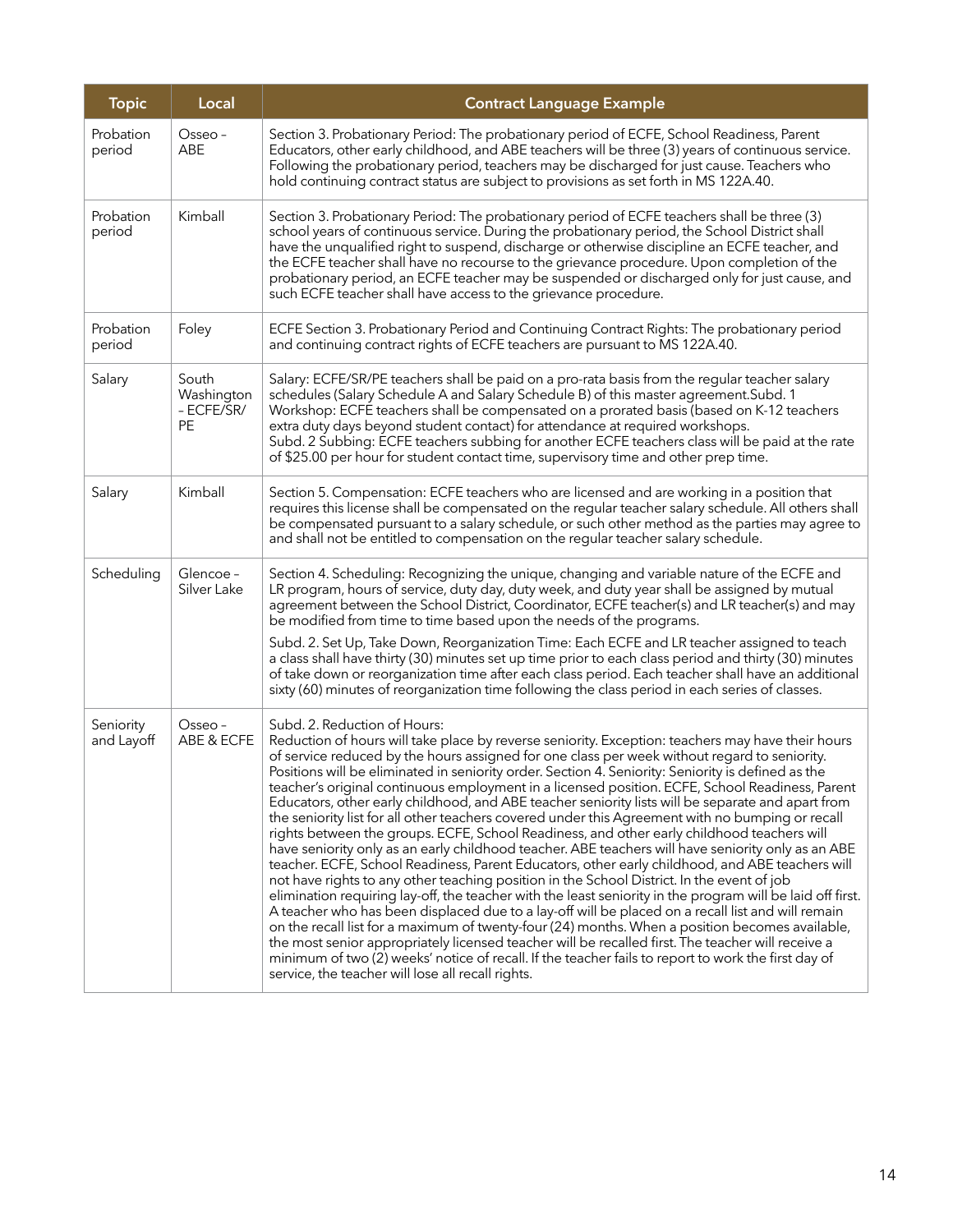| <b>Topic</b>            | Local                                   | <b>Contract Language Example</b>                                                                                                                                                                                                                                                                                                                                                                                                                                                                                                                                                                                                                                                                                                                                                                                                                                                                                                                                                                                                                                                                                                                                                                                                                                                                                                                                                                                                                                                                                                                                                                                                                |
|-------------------------|-----------------------------------------|-------------------------------------------------------------------------------------------------------------------------------------------------------------------------------------------------------------------------------------------------------------------------------------------------------------------------------------------------------------------------------------------------------------------------------------------------------------------------------------------------------------------------------------------------------------------------------------------------------------------------------------------------------------------------------------------------------------------------------------------------------------------------------------------------------------------------------------------------------------------------------------------------------------------------------------------------------------------------------------------------------------------------------------------------------------------------------------------------------------------------------------------------------------------------------------------------------------------------------------------------------------------------------------------------------------------------------------------------------------------------------------------------------------------------------------------------------------------------------------------------------------------------------------------------------------------------------------------------------------------------------------------------|
| Probation<br>period     | Osseo -<br>ABE                          | Section 3. Probationary Period: The probationary period of ECFE, School Readiness, Parent<br>Educators, other early childhood, and ABE teachers will be three (3) years of continuous service.<br>Following the probationary period, teachers may be discharged for just cause. Teachers who<br>hold continuing contract status are subject to provisions as set forth in MS 122A.40.                                                                                                                                                                                                                                                                                                                                                                                                                                                                                                                                                                                                                                                                                                                                                                                                                                                                                                                                                                                                                                                                                                                                                                                                                                                           |
| Probation<br>period     | Kimball                                 | Section 3. Probationary Period: The probationary period of ECFE teachers shall be three (3)<br>school years of continuous service. During the probationary period, the School District shall<br>have the unqualified right to suspend, discharge or otherwise discipline an ECFE teacher, and<br>the ECFE teacher shall have no recourse to the grievance procedure. Upon completion of the<br>probationary period, an ECFE teacher may be suspended or discharged only for just cause, and<br>such ECFE teacher shall have access to the grievance procedure.                                                                                                                                                                                                                                                                                                                                                                                                                                                                                                                                                                                                                                                                                                                                                                                                                                                                                                                                                                                                                                                                                  |
| Probation<br>period     | Foley                                   | ECFE Section 3. Probationary Period and Continuing Contract Rights: The probationary period<br>and continuing contract rights of ECFE teachers are pursuant to MS 122A.40.                                                                                                                                                                                                                                                                                                                                                                                                                                                                                                                                                                                                                                                                                                                                                                                                                                                                                                                                                                                                                                                                                                                                                                                                                                                                                                                                                                                                                                                                      |
| Salary                  | South<br>Washington<br>- ECFE/SR/<br>PE | Salary: ECFE/SR/PE teachers shall be paid on a pro-rata basis from the regular teacher salary<br>schedules (Salary Schedule A and Salary Schedule B) of this master agreement. Subd. 1<br>Workshop: ECFE teachers shall be compensated on a prorated basis (based on K-12 teachers<br>extra duty days beyond student contact) for attendance at required workshops.<br>Subd. 2 Subbing: ECFE teachers subbing for another ECFE teachers class will be paid at the rate<br>of \$25.00 per hour for student contact time, supervisory time and other prep time.                                                                                                                                                                                                                                                                                                                                                                                                                                                                                                                                                                                                                                                                                                                                                                                                                                                                                                                                                                                                                                                                                   |
| Salary                  | Kimball                                 | Section 5. Compensation: ECFE teachers who are licensed and are working in a position that<br>requires this license shall be compensated on the regular teacher salary schedule. All others shall<br>be compensated pursuant to a salary schedule, or such other method as the parties may agree to<br>and shall not be entitled to compensation on the regular teacher salary schedule.                                                                                                                                                                                                                                                                                                                                                                                                                                                                                                                                                                                                                                                                                                                                                                                                                                                                                                                                                                                                                                                                                                                                                                                                                                                        |
| Scheduling              | Glencoe -<br>Silver Lake                | Section 4. Scheduling: Recognizing the unique, changing and variable nature of the ECFE and<br>LR program, hours of service, duty day, duty week, and duty year shall be assigned by mutual<br>agreement between the School District, Coordinator, ECFE teacher(s) and LR teacher(s) and may<br>be modified from time to time based upon the needs of the programs.<br>Subd. 2. Set Up, Take Down, Reorganization Time: Each ECFE and LR teacher assigned to teach<br>a class shall have thirty (30) minutes set up time prior to each class period and thirty (30) minutes<br>of take down or reorganization time after each class period. Each teacher shall have an additional                                                                                                                                                                                                                                                                                                                                                                                                                                                                                                                                                                                                                                                                                                                                                                                                                                                                                                                                                               |
|                         |                                         | sixty (60) minutes of reorganization time following the class period in each series of classes.                                                                                                                                                                                                                                                                                                                                                                                                                                                                                                                                                                                                                                                                                                                                                                                                                                                                                                                                                                                                                                                                                                                                                                                                                                                                                                                                                                                                                                                                                                                                                 |
| Seniority<br>and Layoff | Osseo -<br>ABE & ECFE                   | Subd. 2. Reduction of Hours:<br>Reduction of hours will take place by reverse seniority. Exception: teachers may have their hours<br>of service reduced by the hours assigned for one class per week without regard to seniority.<br>Positions will be eliminated in seniority order. Section 4. Seniority: Seniority is defined as the<br>teacher's original continuous employment in a licensed position. ECFE, School Readiness, Parent<br>Educators, other early childhood, and ABE teacher seniority lists will be separate and apart from<br>the seniority list for all other teachers covered under this Agreement with no bumping or recall<br>rights between the groups. ECFE, School Readiness, and other early childhood teachers will<br>have seniority only as an early childhood teacher. ABE teachers will have seniority only as an ABE<br>teacher. ECFE, School Readiness, Parent Educators, other early childhood, and ABE teachers will<br>not have rights to any other teaching position in the School District. In the event of job<br>elimination requiring lay-off, the teacher with the least seniority in the program will be laid off first.<br>A teacher who has been displaced due to a lay-off will be placed on a recall list and will remain<br>on the recall list for a maximum of twenty-four (24) months. When a position becomes available,<br>the most senior appropriately licensed teacher will be recalled first. The teacher will receive a<br>minimum of two (2) weeks' notice of recall. If the teacher fails to report to work the first day of<br>service, the teacher will lose all recall rights. |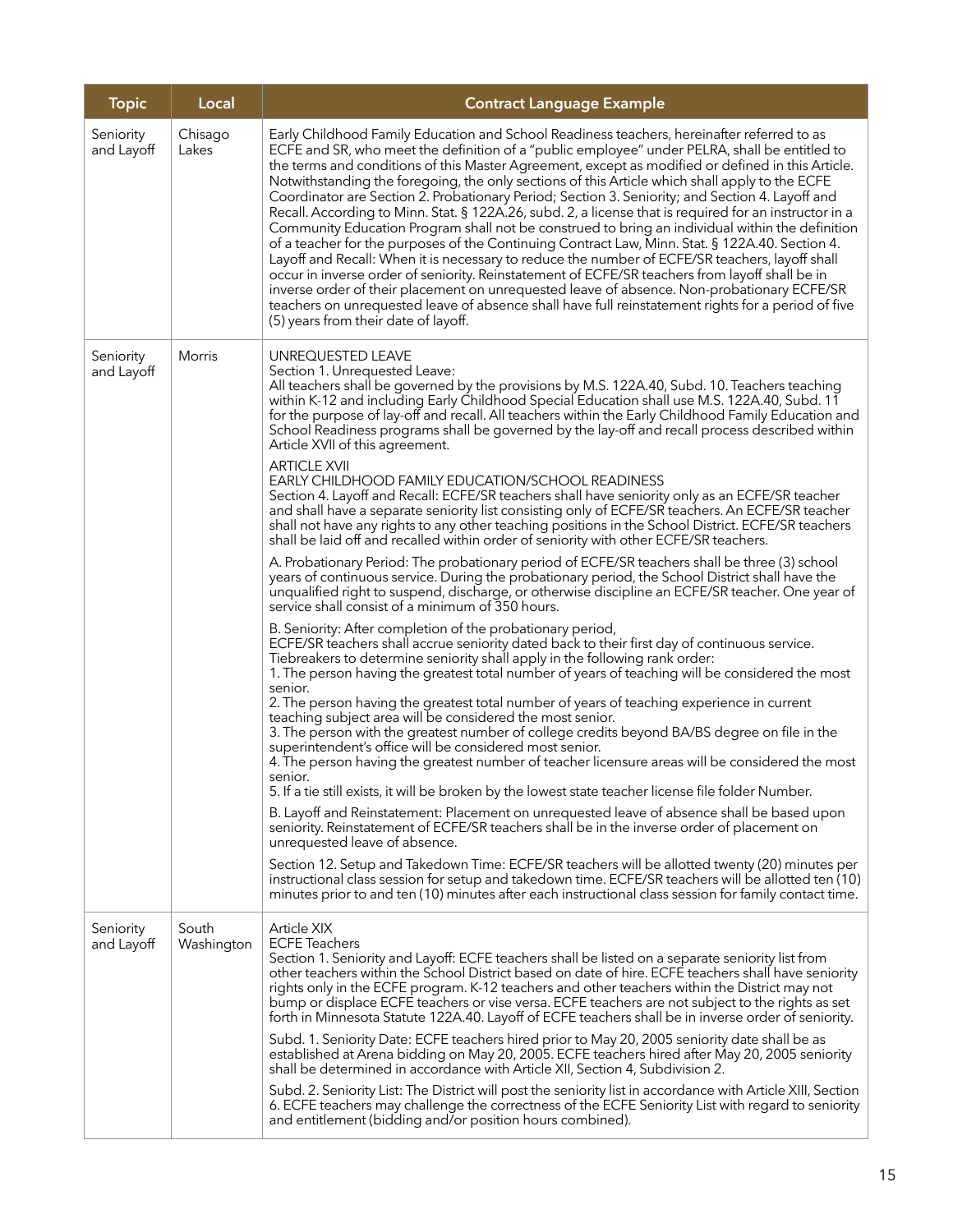| <b>Topic</b>            | Local               | <b>Contract Language Example</b>                                                                                                                                                                                                                                                                                                                                                                                                                                                                                                                                                                                                                                                                                                                                                                                                                                                                                                                                                                                                                                                                                                                                                                                                                                                                                                                                                                                                                                                                                                                                                                                                                                                                                                                                                                                                                                                                                                                                                                                                                                                                                                                                                                                                                                                                                                                                                                                                                                                                                                                                                                                                                                                                                                                                                                 |
|-------------------------|---------------------|--------------------------------------------------------------------------------------------------------------------------------------------------------------------------------------------------------------------------------------------------------------------------------------------------------------------------------------------------------------------------------------------------------------------------------------------------------------------------------------------------------------------------------------------------------------------------------------------------------------------------------------------------------------------------------------------------------------------------------------------------------------------------------------------------------------------------------------------------------------------------------------------------------------------------------------------------------------------------------------------------------------------------------------------------------------------------------------------------------------------------------------------------------------------------------------------------------------------------------------------------------------------------------------------------------------------------------------------------------------------------------------------------------------------------------------------------------------------------------------------------------------------------------------------------------------------------------------------------------------------------------------------------------------------------------------------------------------------------------------------------------------------------------------------------------------------------------------------------------------------------------------------------------------------------------------------------------------------------------------------------------------------------------------------------------------------------------------------------------------------------------------------------------------------------------------------------------------------------------------------------------------------------------------------------------------------------------------------------------------------------------------------------------------------------------------------------------------------------------------------------------------------------------------------------------------------------------------------------------------------------------------------------------------------------------------------------------------------------------------------------------------------------------------------------|
| Seniority<br>and Layoff | Chisago<br>Lakes    | Early Childhood Family Education and School Readiness teachers, hereinafter referred to as<br>ECFE and SR, who meet the definition of a "public employee" under PELRA, shall be entitled to<br>the terms and conditions of this Master Agreement, except as modified or defined in this Article.<br>Notwithstanding the foregoing, the only sections of this Article which shall apply to the ECFE<br>Coordinator are Section 2. Probationary Period; Section 3. Seniority; and Section 4. Layoff and<br>Recall. According to Minn. Stat. § 122A.26, subd. 2, a license that is required for an instructor in a<br>Community Education Program shall not be construed to bring an individual within the definition<br>of a teacher for the purposes of the Continuing Contract Law, Minn. Stat. § 122A.40. Section 4.<br>Layoff and Recall: When it is necessary to reduce the number of ECFE/SR teachers, layoff shall<br>occur in inverse order of seniority. Reinstatement of ECFE/SR teachers from layoff shall be in<br>inverse order of their placement on unrequested leave of absence. Non-probationary ECFE/SR<br>teachers on unrequested leave of absence shall have full reinstatement rights for a period of five<br>(5) years from their date of layoff.                                                                                                                                                                                                                                                                                                                                                                                                                                                                                                                                                                                                                                                                                                                                                                                                                                                                                                                                                                                                                                                                                                                                                                                                                                                                                                                                                                                                                                                                                                                            |
| Seniority<br>and Layoff | Morris              | UNREQUESTED LEAVE<br>Section 1. Unrequested Leave:<br>All teachers shall be governed by the provisions by M.S. 122A.40, Subd. 10. Teachers teaching<br>within K-12 and including Early Childhood Special Education shall use M.S. 122A.40, Subd. 11<br>for the purpose of lay-off and recall. All teachers within the Early Childhood Family Education and<br>School Readiness programs shall be governed by the lay-off and recall process described within<br>Article XVII of this agreement.<br><b>ARTICLE XVII</b><br>EARLY CHILDHOOD FAMILY EDUCATION/SCHOOL READINESS<br>Section 4. Layoff and Recall: ECFE/SR teachers shall have seniority only as an ECFE/SR teacher<br>and shall have a separate seniority list consisting only of ECFE/SR teachers. An ECFE/SR teacher<br>shall not have any rights to any other teaching positions in the School District. ECFE/SR teachers<br>shall be laid off and recalled within order of seniority with other ECFE/SR teachers.<br>A. Probationary Period: The probationary period of ECFE/SR teachers shall be three (3) school<br>years of continuous service. During the probationary period, the School District shall have the<br>unqualified right to suspend, discharge, or otherwise discipline an ECFE/SR teacher. One year of<br>service shall consist of a minimum of 350 hours.<br>B. Seniority: After completion of the probationary period,<br>ECFE/SR teachers shall accrue seniority dated back to their first day of continuous service.<br>Tiebreakers to determine seniority shall apply in the following rank order:<br>1. The person having the greatest total number of years of teaching will be considered the most<br>senior.<br>2. The person having the greatest total number of years of teaching experience in current<br>teaching subject area will be considered the most senior.<br>3. The person with the greatest number of college credits beyond BA/BS degree on file in the<br>superintendent's office will be considered most senior.<br>4. The person having the greatest number of teacher licensure areas will be considered the most<br>senior.<br>5. If a tie still exists, it will be broken by the lowest state teacher license file folder Number.<br>B. Layoff and Reinstatement: Placement on unrequested leave of absence shall be based upon<br>seniority. Reinstatement of ECFE/SR teachers shall be in the inverse order of placement on<br>unrequested leave of absence.<br>Section 12. Setup and Takedown Time: ECFE/SR teachers will be allotted twenty (20) minutes per<br>instructional class session for setup and takedown time. ECFE/SR teachers will be allotted ten (10)<br>minutes prior to and ten (10) minutes after each instructional class session for family contact time. |
| Seniority<br>and Layoff | South<br>Washington | Article XIX<br><b>ECFE Teachers</b><br>Section 1. Seniority and Layoff: ECFE teachers shall be listed on a separate seniority list from<br>other teachers within the School District based on date of hire. ECFE teachers shall have seniority<br>rights only in the ECFE program. K-12 teachers and other teachers within the District may not<br>bump or displace ECFE teachers or vise versa. ECFE teachers are not subject to the rights as set<br>forth in Minnesota Statute 122A.40. Layoff of ECFE teachers shall be in inverse order of seniority.<br>Subd. 1. Seniority Date: ECFE teachers hired prior to May 20, 2005 seniority date shall be as<br>established at Arena bidding on May 20, 2005. ECFE teachers hired after May 20, 2005 seniority<br>shall be determined in accordance with Article XII, Section 4, Subdivision 2.<br>Subd. 2. Seniority List: The District will post the seniority list in accordance with Article XIII, Section<br>6. ECFE teachers may challenge the correctness of the ECFE Seniority List with regard to seniority<br>and entitlement (bidding and/or position hours combined).                                                                                                                                                                                                                                                                                                                                                                                                                                                                                                                                                                                                                                                                                                                                                                                                                                                                                                                                                                                                                                                                                                                                                                                                                                                                                                                                                                                                                                                                                                                                                                                                                                                                 |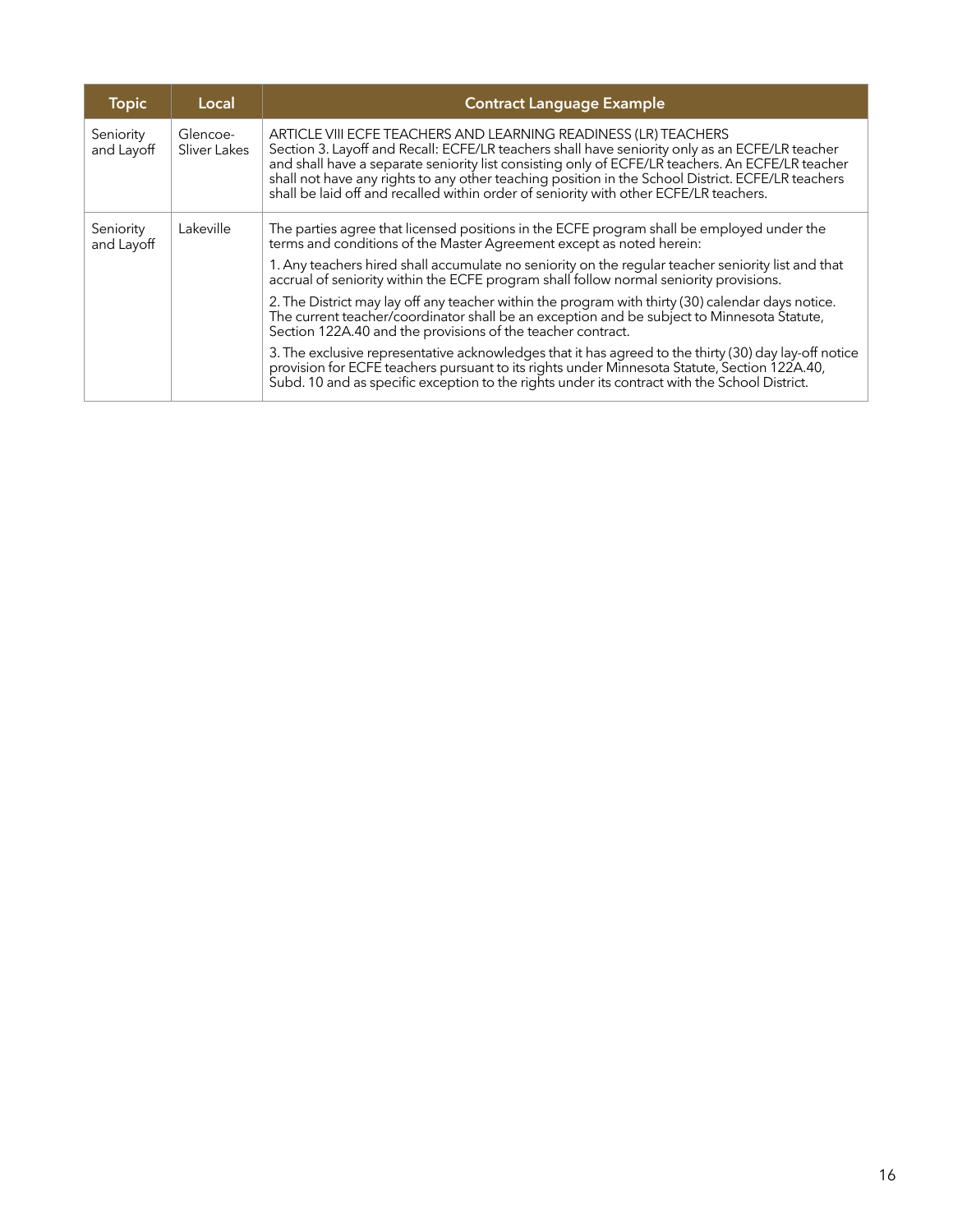| <b>Topic</b>            | Local                    | <b>Contract Language Example</b>                                                                                                                                                                                                                                                                                                                                                                                                                                    |
|-------------------------|--------------------------|---------------------------------------------------------------------------------------------------------------------------------------------------------------------------------------------------------------------------------------------------------------------------------------------------------------------------------------------------------------------------------------------------------------------------------------------------------------------|
| Seniority<br>and Layoff | Glencoe-<br>Sliver Lakes | ARTICLE VIII ECFE TEACHERS AND LEARNING READINESS (LR) TEACHERS<br>Section 3. Layoff and Recall: ECFE/LR teachers shall have seniority only as an ECFE/LR teacher<br>and shall have a separate seniority list consisting only of ECFE/LR teachers. An ECFE/LR teacher<br>shall not have any rights to any other teaching position in the School District. ECFE/LR teachers<br>shall be laid off and recalled within order of seniority with other ECFE/LR teachers. |
| Seniority<br>and Layoff | Lakeville                | The parties agree that licensed positions in the ECFE program shall be employed under the<br>terms and conditions of the Master Agreement except as noted herein:                                                                                                                                                                                                                                                                                                   |
|                         |                          | 1. Any teachers hired shall accumulate no seniority on the regular teacher seniority list and that<br>accrual of seniority within the ECFE program shall follow normal seniority provisions.                                                                                                                                                                                                                                                                        |
|                         |                          | 2. The District may lay off any teacher within the program with thirty (30) calendar days notice.<br>The current teacher/coordinator shall be an exception and be subject to Minnesota Statute,<br>Section 122A.40 and the provisions of the teacher contract.                                                                                                                                                                                                      |
|                         |                          | 3. The exclusive representative acknowledges that it has agreed to the thirty (30) day lay-off notice<br>provision for ECFE teachers pursuant to its rights under Minnesota Statute, Section 122A.40,<br>Subd. 10 and as specific exception to the rights under its contract with the School District.                                                                                                                                                              |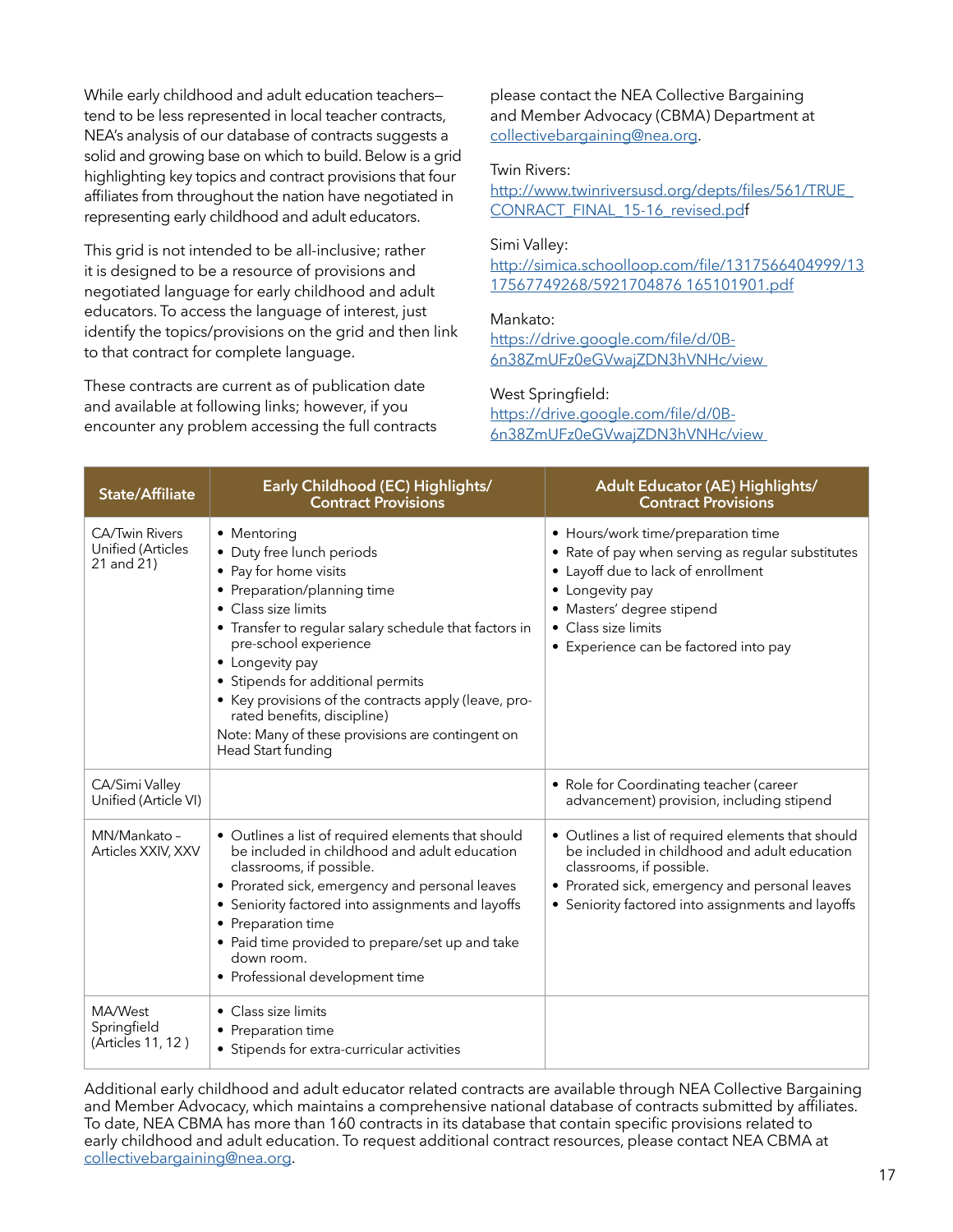While early childhood and adult education teachers tend to be less represented in local teacher contracts, NEA's analysis of our database of contracts suggests a solid and growing base on which to build. Below is a grid highlighting key topics and contract provisions that four affiliates from throughout the nation have negotiated in representing early childhood and adult educators.

This grid is not intended to be all-inclusive; rather it is designed to be a resource of provisions and negotiated language for early childhood and adult educators. To access the language of interest, just identify the topics/provisions on the grid and then link to that contract for complete language.

These contracts are current as of publication date and available at following links; however, if you encounter any problem accessing the full contracts please contact the NEA Collective Bargaining and Member Advocacy (CBMA) Department at [collectivebargaining@nea.org](mailto:collectivebargaining@nea.org).

#### Twin Rivers:

[http://www.twinriversusd.org/depts/files/561/TRUE\\_](http://www.twinriversusd.org/depts/files/561/TRUE_CONRACT_FINAL_15-16_revised.pd) [CONRACT\\_FINAL\\_15-16\\_revised.pd](http://www.twinriversusd.org/depts/files/561/TRUE_CONRACT_FINAL_15-16_revised.pd)f

#### Simi Valley:

[http://simica.schoolloop.com/file/1317566404999/13](http://simica.schoolloop.com/file/1317566404999/1317567749268/5921704876 165101901.pdf) [17567749268/5921704876 165101901.pdf](http://simica.schoolloop.com/file/1317566404999/1317567749268/5921704876 165101901.pdf)

#### Mankato:

[https://drive.google.com/file/d/0B-](https://drive.google.com/file/d/0B-6n38ZmUFz0eGVwajZDN3hVNHc/view )[6n38ZmUFz0eGVwajZDN3hVNHc/view](https://drive.google.com/file/d/0B-6n38ZmUFz0eGVwajZDN3hVNHc/view ) 

#### West Springfield:

[https://drive.google.com/file/d/0B-](https://drive.google.com/file/d/0B-6n38ZmUFz0eGVwajZDN3hVNHc/view )[6n38ZmUFz0eGVwajZDN3hVNHc/view](https://drive.google.com/file/d/0B-6n38ZmUFz0eGVwajZDN3hVNHc/view ) 

| <b>State/Affiliate</b>                                   | Early Childhood (EC) Highlights/<br><b>Contract Provisions</b>                                                                                                                                                                                                                                                                                                                                                                     | Adult Educator (AE) Highlights/<br><b>Contract Provisions</b>                                                                                                                                                                                 |
|----------------------------------------------------------|------------------------------------------------------------------------------------------------------------------------------------------------------------------------------------------------------------------------------------------------------------------------------------------------------------------------------------------------------------------------------------------------------------------------------------|-----------------------------------------------------------------------------------------------------------------------------------------------------------------------------------------------------------------------------------------------|
| <b>CA/Twin Rivers</b><br>Unified (Articles<br>21 and 21) | • Mentoring<br>• Duty free lunch periods<br>• Pay for home visits<br>• Preparation/planning time<br>• Class size limits<br>• Transfer to regular salary schedule that factors in<br>pre-school experience<br>• Longevity pay<br>• Stipends for additional permits<br>• Key provisions of the contracts apply (leave, pro-<br>rated benefits, discipline)<br>Note: Many of these provisions are contingent on<br>Head Start funding | • Hours/work time/preparation time<br>• Rate of pay when serving as regular substitutes<br>• Layoff due to lack of enrollment<br>• Longevity pay<br>• Masters' degree stipend<br>• Class size limits<br>• Experience can be factored into pay |
| CA/Simi Valley<br>Unified (Article VI)                   |                                                                                                                                                                                                                                                                                                                                                                                                                                    | • Role for Coordinating teacher (career<br>advancement) provision, including stipend                                                                                                                                                          |
| MN/Mankato -<br>Articles XXIV, XXV                       | • Outlines a list of required elements that should<br>be included in childhood and adult education<br>classrooms, if possible.<br>• Prorated sick, emergency and personal leaves<br>• Seniority factored into assignments and layoffs<br>• Preparation time<br>• Paid time provided to prepare/set up and take<br>down room.<br>• Professional development time                                                                    | • Outlines a list of required elements that should<br>be included in childhood and adult education<br>classrooms, if possible.<br>• Prorated sick, emergency and personal leaves<br>• Seniority factored into assignments and layoffs         |
| MA/West<br>Springfield<br>(Articles 11, 12)              | • Class size limits<br>• Preparation time<br>• Stipends for extra-curricular activities                                                                                                                                                                                                                                                                                                                                            |                                                                                                                                                                                                                                               |

Additional early childhood and adult educator related contracts are available through NEA Collective Bargaining and Member Advocacy, which maintains a comprehensive national database of contracts submitted by affiliates. To date, NEA CBMA has more than 160 contracts in its database that contain specific provisions related to early childhood and adult education. To request additional contract resources, please contact NEA CBMA at [collectivebargaining@nea.org](mailto:collectivebargaining@nea.org).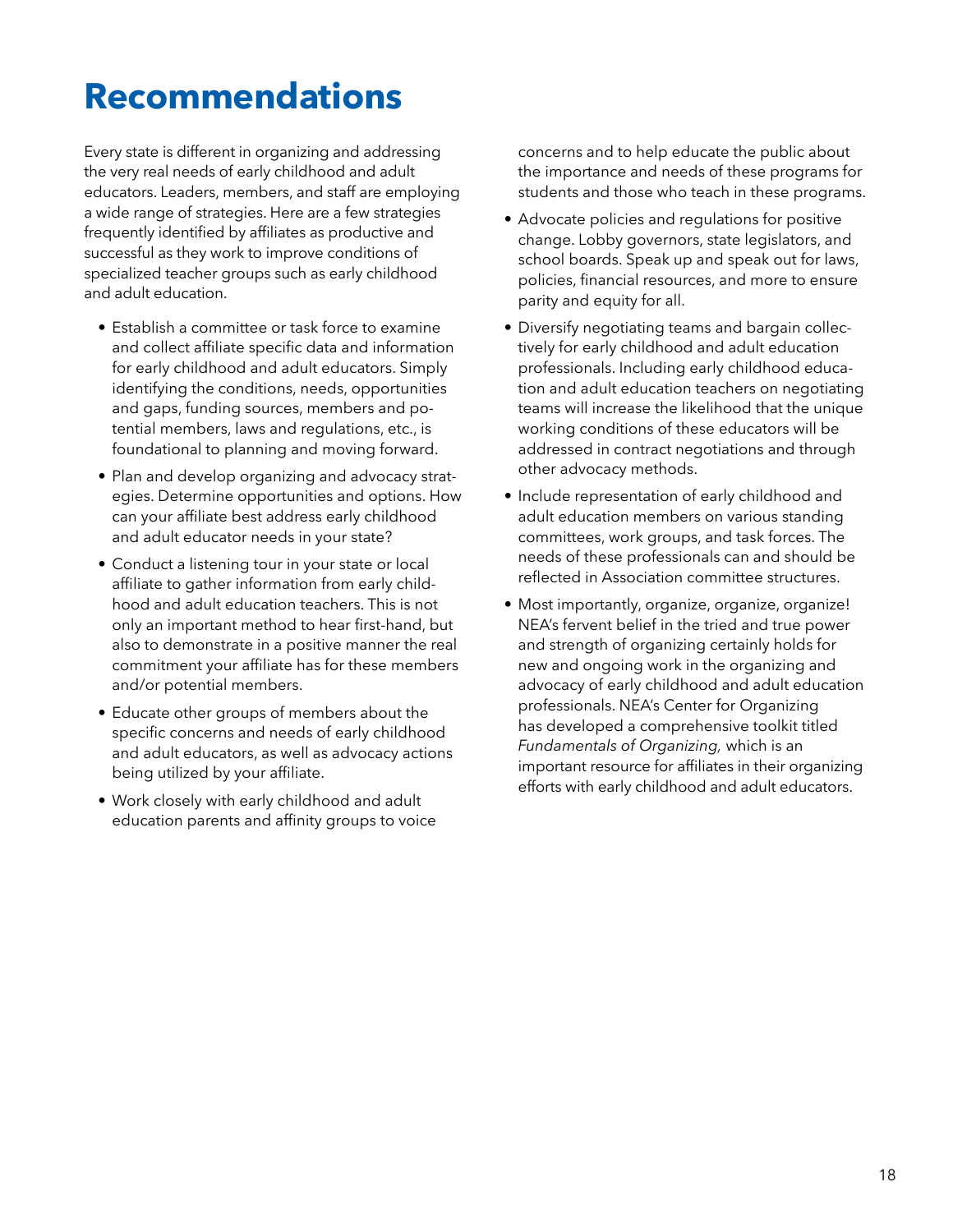# **Recommendations**

Every state is different in organizing and addressing the very real needs of early childhood and adult educators. Leaders, members, and staff are employing a wide range of strategies. Here are a few strategies frequently identified by affiliates as productive and successful as they work to improve conditions of specialized teacher groups such as early childhood and adult education.

- Establish a committee or task force to examine and collect affiliate specific data and information for early childhood and adult educators. Simply identifying the conditions, needs, opportunities and gaps, funding sources, members and potential members, laws and regulations, etc., is foundational to planning and moving forward.
- Plan and develop organizing and advocacy strategies. Determine opportunities and options. How can your affiliate best address early childhood and adult educator needs in your state?
- Conduct a listening tour in your state or local affiliate to gather information from early childhood and adult education teachers. This is not only an important method to hear first-hand, but also to demonstrate in a positive manner the real commitment your affiliate has for these members and/or potential members.
- Educate other groups of members about the specific concerns and needs of early childhood and adult educators, as well as advocacy actions being utilized by your affiliate.
- Work closely with early childhood and adult education parents and affinity groups to voice

concerns and to help educate the public about the importance and needs of these programs for students and those who teach in these programs.

- Advocate policies and regulations for positive change. Lobby governors, state legislators, and school boards. Speak up and speak out for laws, policies, financial resources, and more to ensure parity and equity for all.
- Diversify negotiating teams and bargain collectively for early childhood and adult education professionals. Including early childhood education and adult education teachers on negotiating teams will increase the likelihood that the unique working conditions of these educators will be addressed in contract negotiations and through other advocacy methods.
- Include representation of early childhood and adult education members on various standing committees, work groups, and task forces. The needs of these professionals can and should be reflected in Association committee structures.
- Most importantly, organize, organize, organize! NEA's fervent belief in the tried and true power and strength of organizing certainly holds for new and ongoing work in the organizing and advocacy of early childhood and adult education professionals. NEA's Center for Organizing has developed a comprehensive toolkit titled *Fundamentals of Organizing,* which is an important resource for affiliates in their organizing efforts with early childhood and adult educators.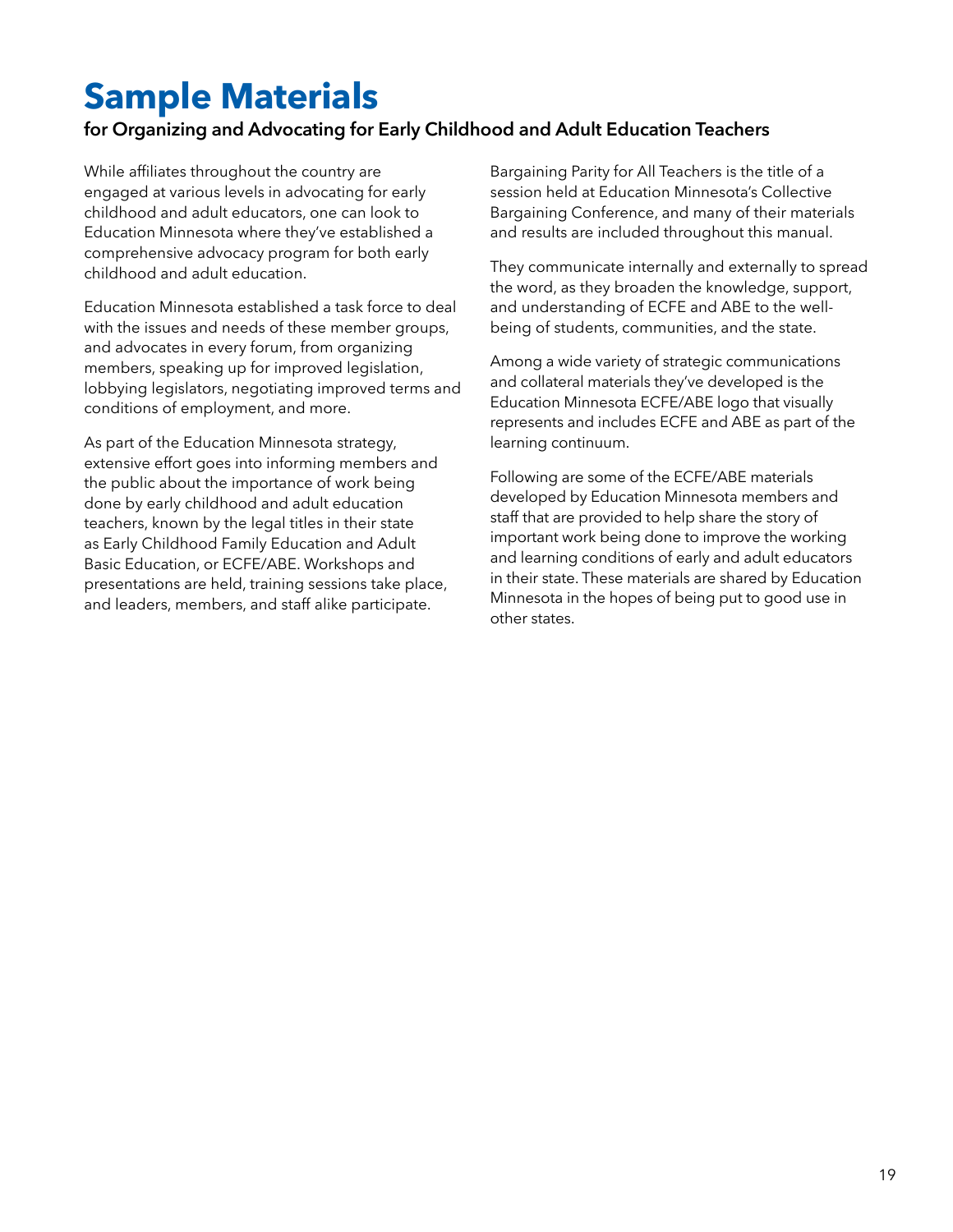# **Sample Materials**

# **for Organizing and Advocating for Early Childhood and Adult Education Teachers**

While affiliates throughout the country are engaged at various levels in advocating for early childhood and adult educators, one can look to Education Minnesota where they've established a comprehensive advocacy program for both early childhood and adult education.

Education Minnesota established a task force to deal with the issues and needs of these member groups, and advocates in every forum, from organizing members, speaking up for improved legislation, lobbying legislators, negotiating improved terms and conditions of employment, and more.

As part of the Education Minnesota strategy, extensive effort goes into informing members and the public about the importance of work being done by early childhood and adult education teachers, known by the legal titles in their state as Early Childhood Family Education and Adult Basic Education, or ECFE/ABE. Workshops and presentations are held, training sessions take place, and leaders, members, and staff alike participate.

Bargaining Parity for All Teachers is the title of a session held at Education Minnesota's Collective Bargaining Conference, and many of their materials and results are included throughout this manual.

They communicate internally and externally to spread the word, as they broaden the knowledge, support, and understanding of ECFE and ABE to the wellbeing of students, communities, and the state.

Among a wide variety of strategic communications and collateral materials they've developed is the Education Minnesota ECFE/ABE logo that visually represents and includes ECFE and ABE as part of the learning continuum.

Following are some of the ECFE/ABE materials developed by Education Minnesota members and staff that are provided to help share the story of important work being done to improve the working and learning conditions of early and adult educators in their state. These materials are shared by Education Minnesota in the hopes of being put to good use in other states.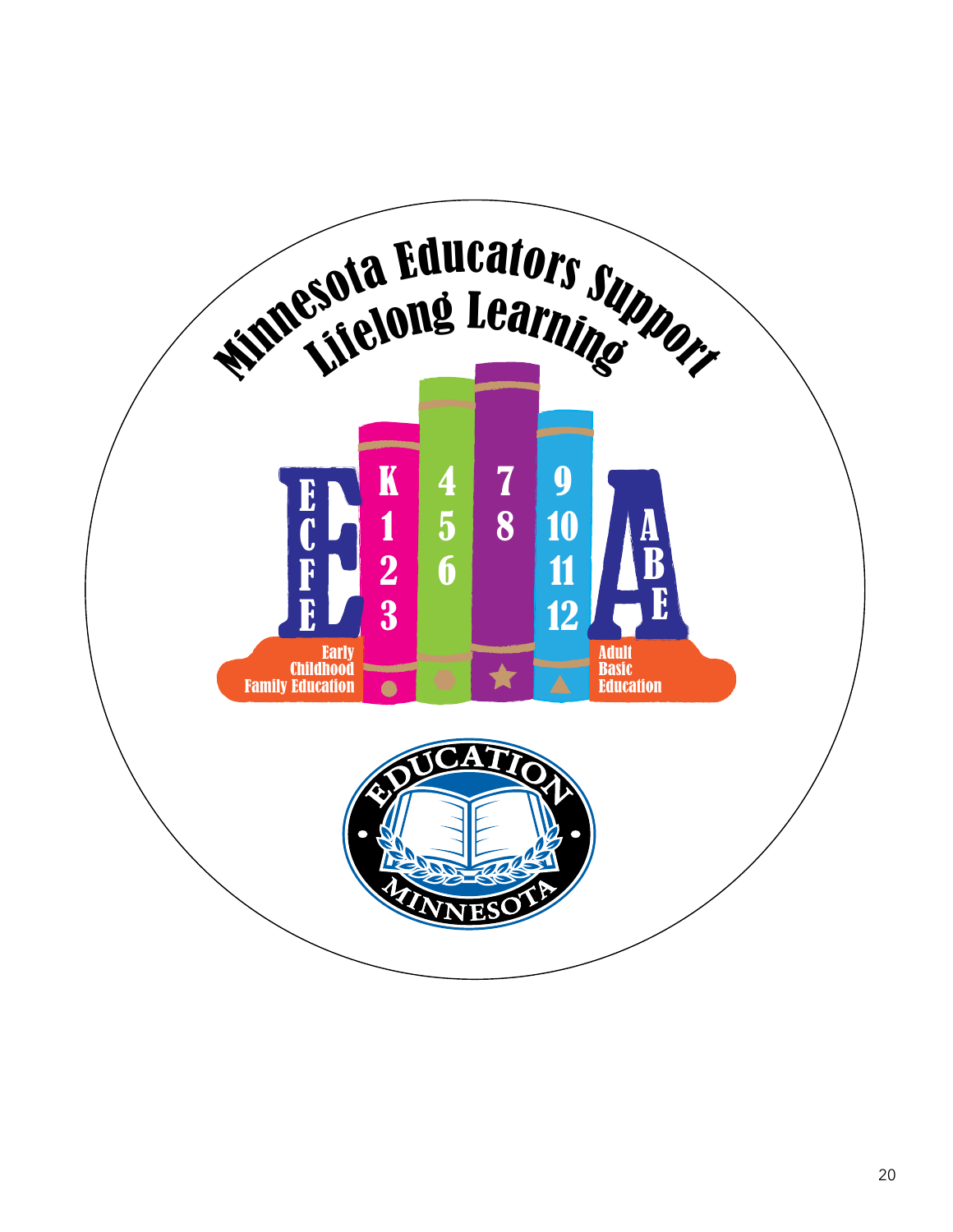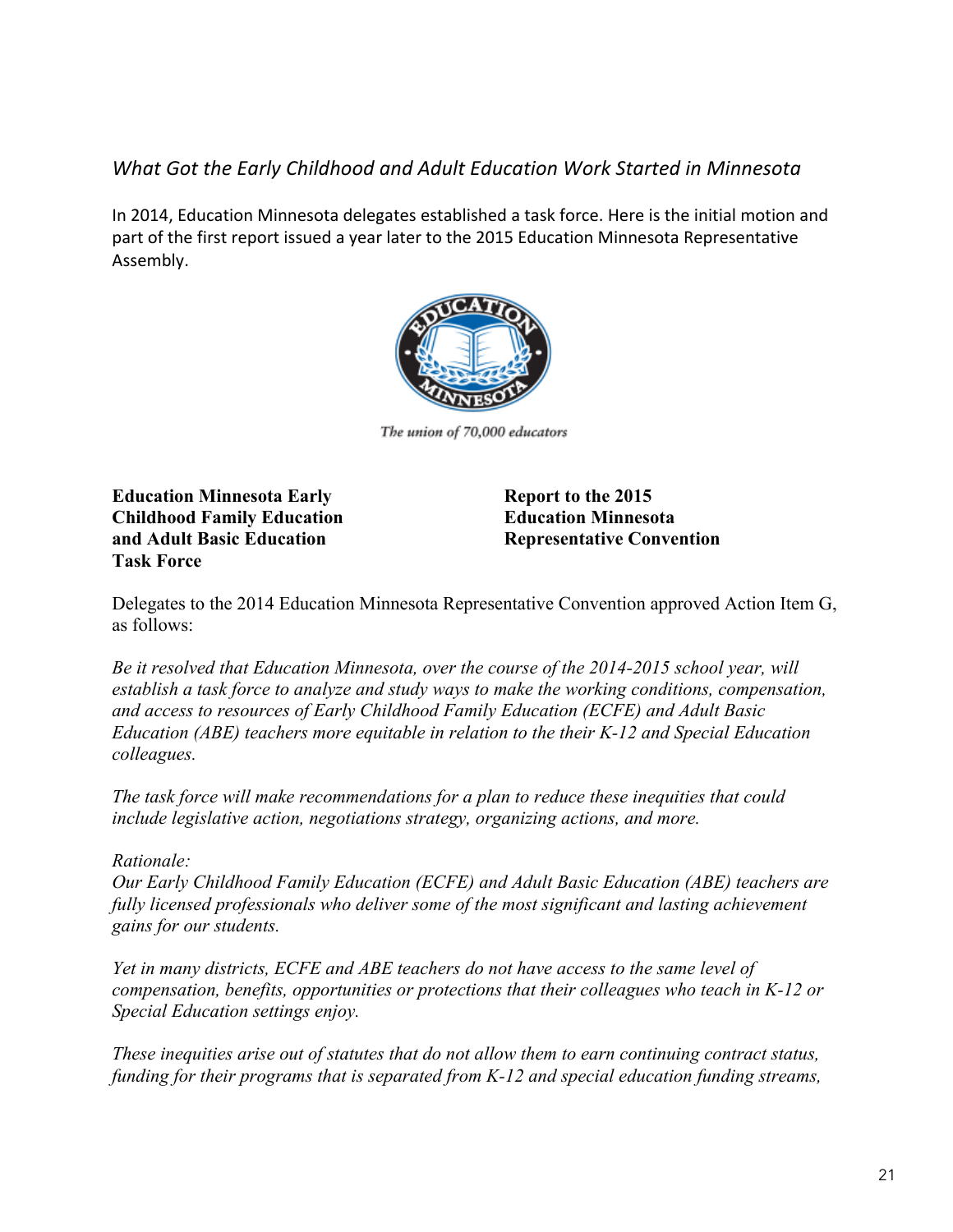# *What Got the Early Childhood and Adult Education Work Started in Minnesota*

In 2014, Education Minnesota delegates established a task force. Here is the initial motion and part of the first report issued a year later to the 2015 Education Minnesota Representative Assembly. 



The union of 70,000 educators

**Education Minnesota Early <b>Report to the 2015 Childhood Family Education Education Minnesota and Adult Basic Education Representative Convention Task Force**

Delegates to the 2014 Education Minnesota Representative Convention approved Action Item G, as follows:

*Be it resolved that Education Minnesota, over the course of the 2014-2015 school year, will establish a task force to analyze and study ways to make the working conditions, compensation, and access to resources of Early Childhood Family Education (ECFE) and Adult Basic Education (ABE) teachers more equitable in relation to the their K-12 and Special Education colleagues.*

*The task force will make recommendations for a plan to reduce these inequities that could include legislative action, negotiations strategy, organizing actions, and more.*

#### *Rationale:*

*Our Early Childhood Family Education (ECFE) and Adult Basic Education (ABE) teachers are fully licensed professionals who deliver some of the most significant and lasting achievement gains for our students.*

*Yet in many districts, ECFE and ABE teachers do not have access to the same level of compensation, benefits, opportunities or protections that their colleagues who teach in K-12 or Special Education settings enjoy.*

*These inequities arise out of statutes that do not allow them to earn continuing contract status, funding for their programs that is separated from K-12 and special education funding streams,*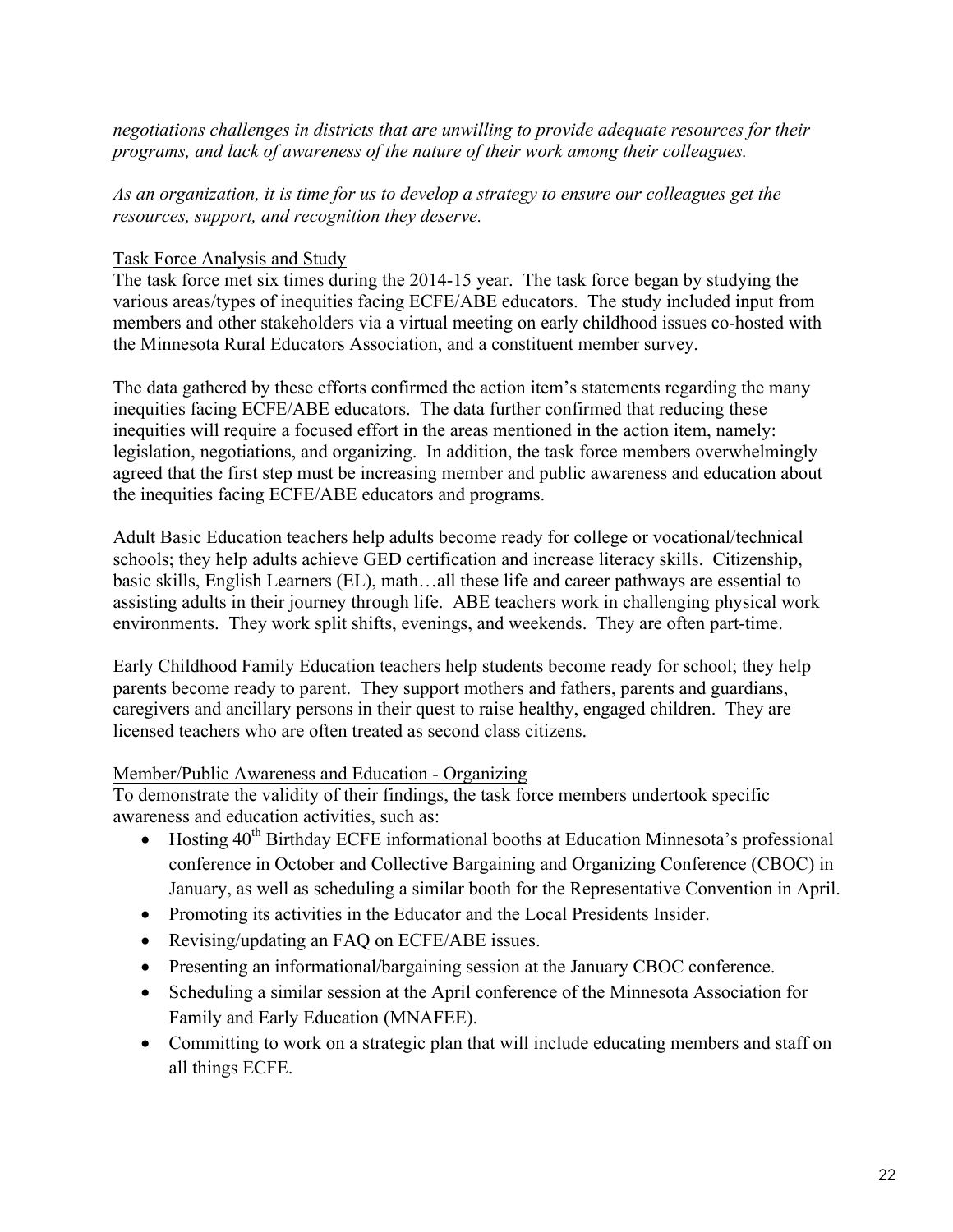*negotiations challenges in districts that are unwilling to provide adequate resources for their programs, and lack of awareness of the nature of their work among their colleagues.*

*As an organization, it is time for us to develop a strategy to ensure our colleagues get the resources, support, and recognition they deserve.*

#### Task Force Analysis and Study

The task force met six times during the 2014-15 year. The task force began by studying the various areas/types of inequities facing ECFE/ABE educators. The study included input from members and other stakeholders via a virtual meeting on early childhood issues co-hosted with the Minnesota Rural Educators Association, and a constituent member survey.

The data gathered by these efforts confirmed the action item's statements regarding the many inequities facing ECFE/ABE educators. The data further confirmed that reducing these inequities will require a focused effort in the areas mentioned in the action item, namely: legislation, negotiations, and organizing. In addition, the task force members overwhelmingly agreed that the first step must be increasing member and public awareness and education about the inequities facing ECFE/ABE educators and programs.

Adult Basic Education teachers help adults become ready for college or vocational/technical schools; they help adults achieve GED certification and increase literacy skills. Citizenship, basic skills, English Learners (EL), math…all these life and career pathways are essential to assisting adults in their journey through life. ABE teachers work in challenging physical work environments. They work split shifts, evenings, and weekends. They are often part-time.

Early Childhood Family Education teachers help students become ready for school; they help parents become ready to parent. They support mothers and fathers, parents and guardians, caregivers and ancillary persons in their quest to raise healthy, engaged children. They are licensed teachers who are often treated as second class citizens.

### Member/Public Awareness and Education - Organizing

To demonstrate the validity of their findings, the task force members undertook specific awareness and education activities, such as:

- $\bullet$  Hosting 40<sup>th</sup> Birthday ECFE informational booths at Education Minnesota's professional conference in October and Collective Bargaining and Organizing Conference (CBOC) in January, as well as scheduling a similar booth for the Representative Convention in April.
- Promoting its activities in the Educator and the Local Presidents Insider.
- Revising/updating an FAQ on ECFE/ABE issues.
- Presenting an informational/bargaining session at the January CBOC conference.
- Scheduling a similar session at the April conference of the Minnesota Association for Family and Early Education (MNAFEE).
- Committing to work on a strategic plan that will include educating members and staff on all things ECFE.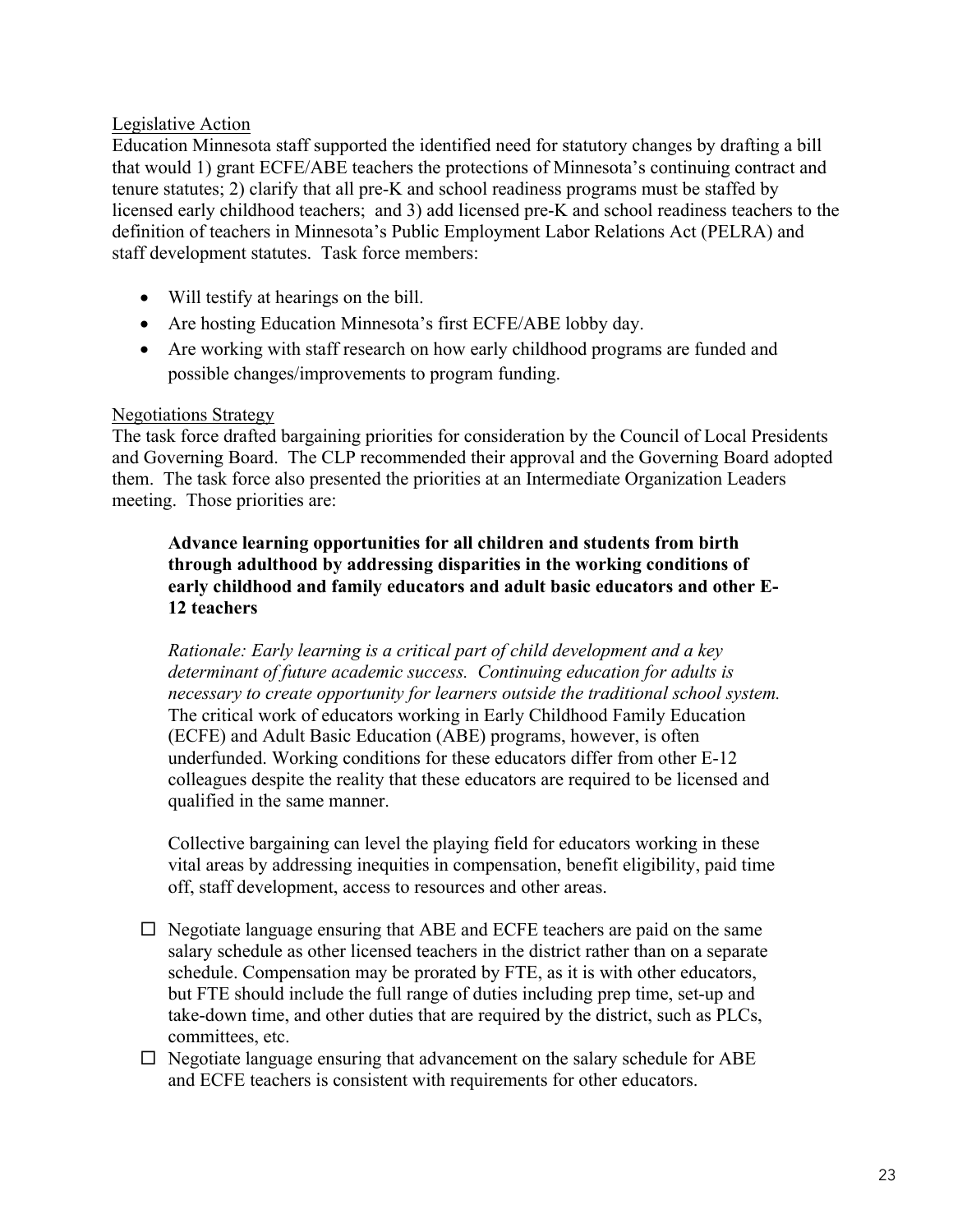### Legislative Action

Education Minnesota staff supported the identified need for statutory changes by drafting a bill that would 1) grant ECFE/ABE teachers the protections of Minnesota's continuing contract and tenure statutes; 2) clarify that all pre-K and school readiness programs must be staffed by licensed early childhood teachers; and 3) add licensed pre-K and school readiness teachers to the definition of teachers in Minnesota's Public Employment Labor Relations Act (PELRA) and staff development statutes. Task force members:

- Will testify at hearings on the bill.
- Are hosting Education Minnesota's first ECFE/ABE lobby day.
- Are working with staff research on how early childhood programs are funded and possible changes/improvements to program funding.

### Negotiations Strategy

The task force drafted bargaining priorities for consideration by the Council of Local Presidents and Governing Board. The CLP recommended their approval and the Governing Board adopted them. The task force also presented the priorities at an Intermediate Organization Leaders meeting. Those priorities are:

### **Advance learning opportunities for all children and students from birth through adulthood by addressing disparities in the working conditions of early childhood and family educators and adult basic educators and other E-12 teachers**

*Rationale: Early learning is a critical part of child development and a key determinant of future academic success. Continuing education for adults is necessary to create opportunity for learners outside the traditional school system.*  The critical work of educators working in Early Childhood Family Education (ECFE) and Adult Basic Education (ABE) programs, however, is often underfunded. Working conditions for these educators differ from other E-12 colleagues despite the reality that these educators are required to be licensed and qualified in the same manner.

Collective bargaining can level the playing field for educators working in these vital areas by addressing inequities in compensation, benefit eligibility, paid time off, staff development, access to resources and other areas.

- $\square$  Negotiate language ensuring that ABE and ECFE teachers are paid on the same salary schedule as other licensed teachers in the district rather than on a separate schedule. Compensation may be prorated by FTE, as it is with other educators, but FTE should include the full range of duties including prep time, set-up and take-down time, and other duties that are required by the district, such as PLCs, committees, etc.
- $\Box$  Negotiate language ensuring that advancement on the salary schedule for ABE and ECFE teachers is consistent with requirements for other educators.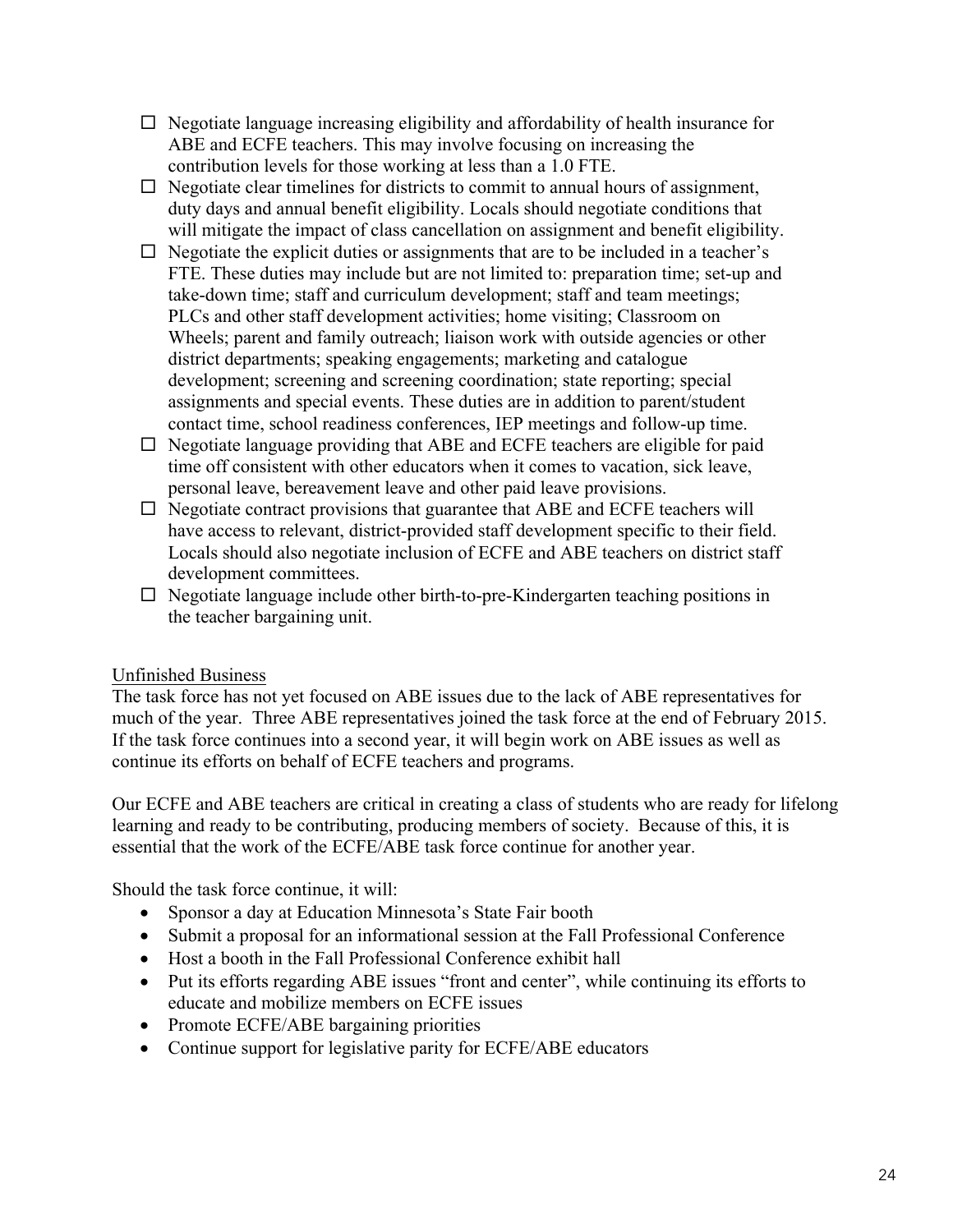- $\Box$  Negotiate language increasing eligibility and affordability of health insurance for ABE and ECFE teachers. This may involve focusing on increasing the contribution levels for those working at less than a 1.0 FTE.
- $\Box$  Negotiate clear timelines for districts to commit to annual hours of assignment, duty days and annual benefit eligibility. Locals should negotiate conditions that will mitigate the impact of class cancellation on assignment and benefit eligibility.
- $\Box$  Negotiate the explicit duties or assignments that are to be included in a teacher's FTE. These duties may include but are not limited to: preparation time; set-up and take-down time; staff and curriculum development; staff and team meetings; PLCs and other staff development activities; home visiting; Classroom on Wheels; parent and family outreach; liaison work with outside agencies or other district departments; speaking engagements; marketing and catalogue development; screening and screening coordination; state reporting; special assignments and special events. These duties are in addition to parent/student contact time, school readiness conferences, IEP meetings and follow-up time.
- $\square$  Negotiate language providing that ABE and ECFE teachers are eligible for paid time off consistent with other educators when it comes to vacation, sick leave, personal leave, bereavement leave and other paid leave provisions.
- $\Box$  Negotiate contract provisions that guarantee that ABE and ECFE teachers will have access to relevant, district-provided staff development specific to their field. Locals should also negotiate inclusion of ECFE and ABE teachers on district staff development committees.
- $\square$  Negotiate language include other birth-to-pre-Kindergarten teaching positions in the teacher bargaining unit.

# Unfinished Business

The task force has not yet focused on ABE issues due to the lack of ABE representatives for much of the year. Three ABE representatives joined the task force at the end of February 2015. If the task force continues into a second year, it will begin work on ABE issues as well as continue its efforts on behalf of ECFE teachers and programs.

Our ECFE and ABE teachers are critical in creating a class of students who are ready for lifelong learning and ready to be contributing, producing members of society. Because of this, it is essential that the work of the ECFE/ABE task force continue for another year.

Should the task force continue, it will:

- Sponsor a day at Education Minnesota's State Fair booth
- Submit a proposal for an informational session at the Fall Professional Conference
- Host a booth in the Fall Professional Conference exhibit hall
- Put its efforts regarding ABE issues "front and center", while continuing its efforts to educate and mobilize members on ECFE issues
- Promote ECFE/ABE bargaining priorities
- Continue support for legislative parity for ECFE/ABE educators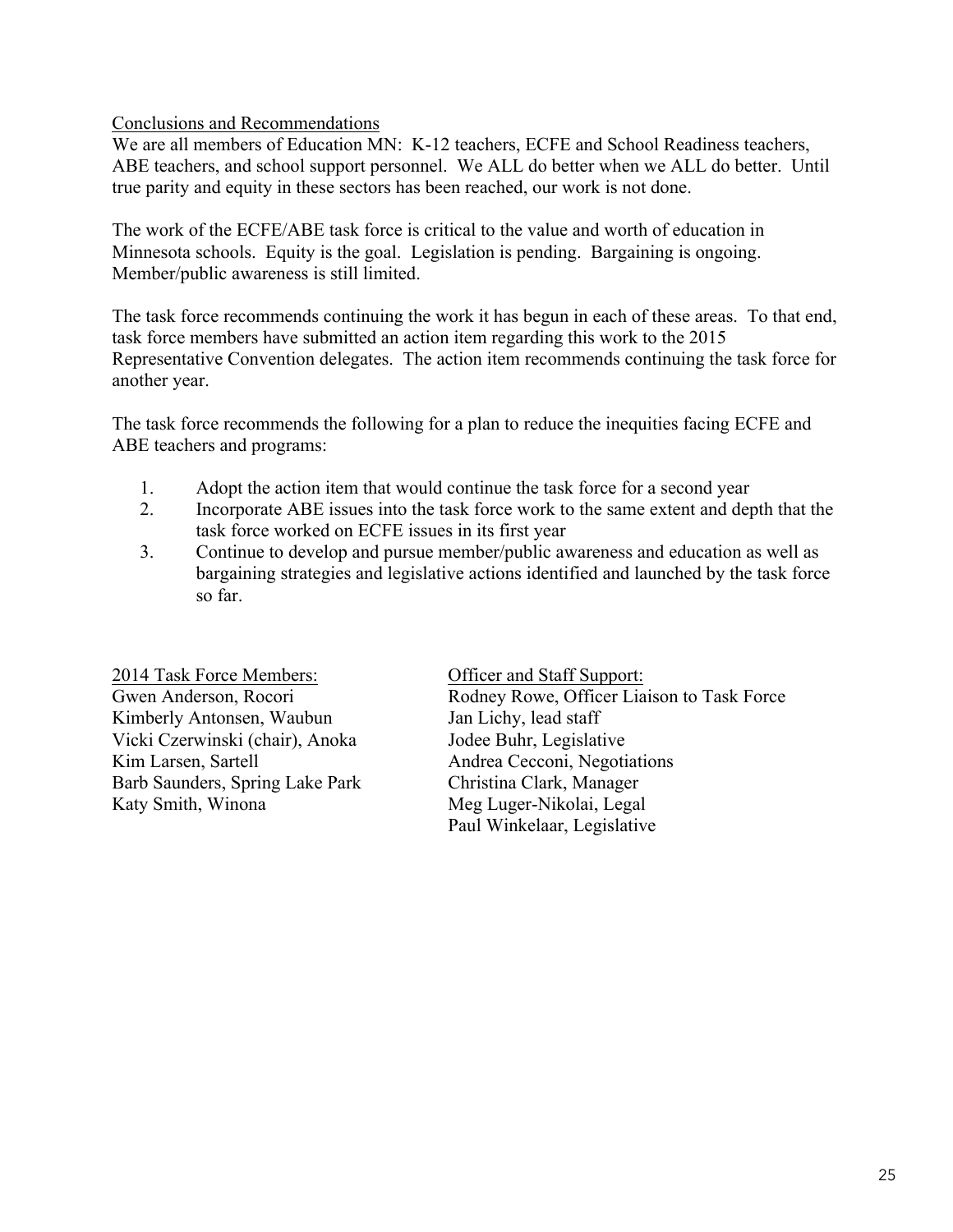Conclusions and Recommendations

We are all members of Education MN: K-12 teachers, ECFE and School Readiness teachers, ABE teachers, and school support personnel. We ALL do better when we ALL do better. Until true parity and equity in these sectors has been reached, our work is not done.

The work of the ECFE/ABE task force is critical to the value and worth of education in Minnesota schools. Equity is the goal. Legislation is pending. Bargaining is ongoing. Member/public awareness is still limited.

The task force recommends continuing the work it has begun in each of these areas. To that end, task force members have submitted an action item regarding this work to the 2015 Representative Convention delegates. The action item recommends continuing the task force for another year.

The task force recommends the following for a plan to reduce the inequities facing ECFE and ABE teachers and programs:

- 1. Adopt the action item that would continue the task force for a second year
- 2. Incorporate ABE issues into the task force work to the same extent and depth that the task force worked on ECFE issues in its first year
- 3. Continue to develop and pursue member/public awareness and education as well as bargaining strategies and legislative actions identified and launched by the task force so far.

2014 Task Force Members: Officer and Staff Support: Kimberly Antonsen, Waubun Jan Lichy, lead staff Vicki Czerwinski (chair), Anoka Jodee Buhr, Legislative Kim Larsen, Sartell Andrea Cecconi, Negotiations Barb Saunders, Spring Lake Park Christina Clark, Manager Katy Smith, Winona Meg Luger-Nikolai, Legal

Gwen Anderson, Rocori Rodney Rowe, Officer Liaison to Task Force Paul Winkelaar, Legislative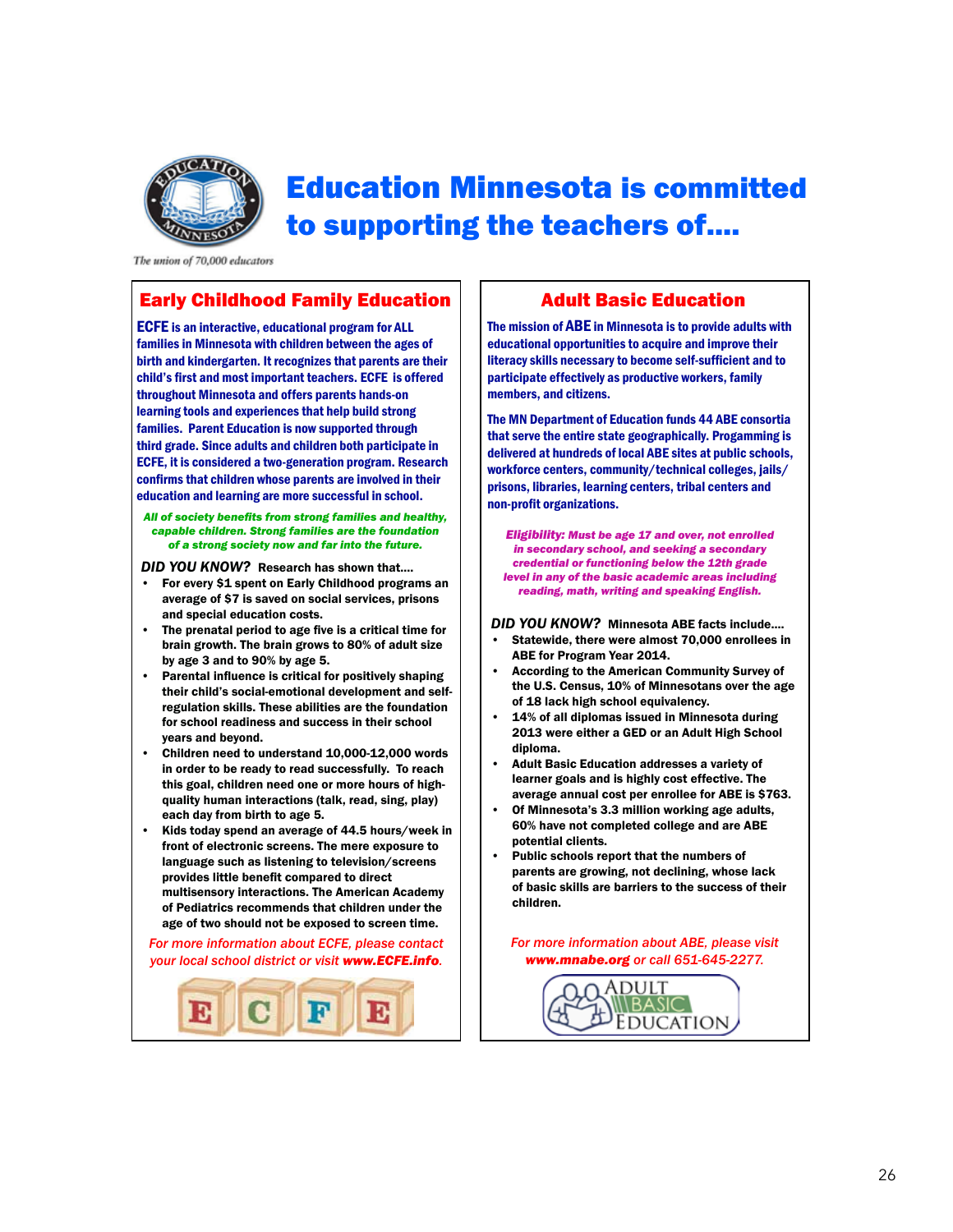

# Education Minnesota is committed to supporting the teachers of....

The union of 70,000 educators

### Early Childhood Family Education Adult Basic Education

ECFE is an interactive, educational program for ALL families in Minnesota with children between the ages of birth and kindergarten. It recognizes that parents are their child's first and most important teachers. ECFE is offered throughout Minnesota and offers parents hands-on learning tools and experiences that help build strong families. Parent Education is now supported through third grade. Since adults and children both participate in ECFE, it is considered a two-generation program. Research confirms that children whose parents are involved in their education and learning are more successful in school.

#### *All of society benefits from strong families and healthy, capable children. Strong families are the foundation of a strong society now and far into the future.*

*DID YOU KNOW?* Research has shown that....

- For every \$1 spent on Early Childhood programs an average of \$7 is saved on social services, prisons and special education costs.
- The prenatal period to age five is a critical time for brain growth. The brain grows to 80% of adult size by age 3 and to 90% by age 5.
- Parental influence is critical for positively shaping their child's social-emotional development and selfregulation skills. These abilities are the foundation for school readiness and success in their school years and beyond.
- Children need to understand 10,000-12,000 words in order to be ready to read successfully. To reach this goal, children need one or more hours of highquality human interactions (talk, read, sing, play) each day from birth to age 5.
- Kids today spend an average of 44.5 hours/week in front of electronic screens. The mere exposure to language such as listening to television/screens provides little benefit compared to direct multisensory interactions. The American Academy of Pediatrics recommends that children under the age of two should not be exposed to screen time.

*For more information about ECFE, please contact your local school district or visit www.ECFE.info.*



The mission of ABE in Minnesota is to provide adults with educational opportunities to acquire and improve their literacy skills necessary to become self-sufficient and to participate effectively as productive workers, family members, and citizens.

The MN Department of Education funds 44 ABE consortia that serve the entire state geographically. Progamming is delivered at hundreds of local ABE sites at public schools, workforce centers, community/technical colleges, jails/ prisons, libraries, learning centers, tribal centers and non-profit organizations.

*Eligibility: Must be age 17 and over, not enrolled in secondary school, and seeking a secondary credential or functioning below the 12th grade level in any of the basic academic areas including reading, math, writing and speaking English.*

*DID YOU KNOW?* Minnesota ABE facts include.... Statewide, there were almost 70,000 enrollees in ABE for Program Year 2014.

- According to the American Community Survey of the U.S. Census, 10% of Minnesotans over the age of 18 lack high school equivalency.
- 14% of all diplomas issued in Minnesota during 2013 were either a GED or an Adult High School diploma.
- Adult Basic Education addresses a variety of learner goals and is highly cost effective. The average annual cost per enrollee for ABE is \$763.
- Of Minnesota's 3.3 million working age adults, 60% have not completed college and are ABE potential clients.
- Public schools report that the numbers of parents are growing, not declining, whose lack of basic skills are barriers to the success of their children.

*For more information about ABE, please visit www.mnabe.org or call 651-645-2277.*

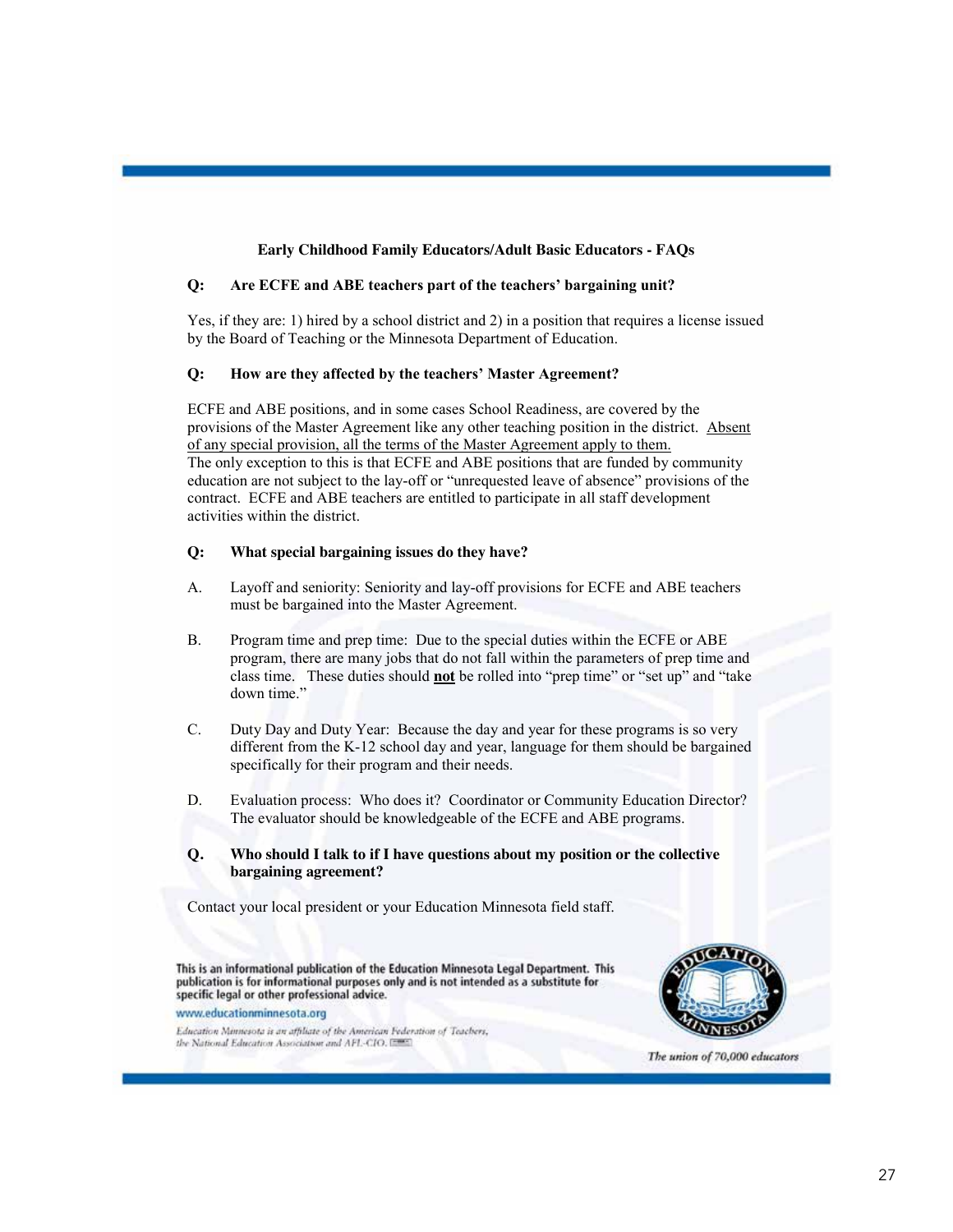#### **Early Childhood Family Educators/Adult Basic Educators - FAQs**

#### **Q: Are ECFE and ABE teachers part of the teachers' bargaining unit?**

Yes, if they are: 1) hired by a school district and 2) in a position that requires a license issued by the Board of Teaching or the Minnesota Department of Education.

#### **Q: How are they affected by the teachers' Master Agreement?**

ECFE and ABE positions, and in some cases School Readiness, are covered by the provisions of the Master Agreement like any other teaching position in the district. Absent of any special provision, all the terms of the Master Agreement apply to them. The only exception to this is that ECFE and ABE positions that are funded by community education are not subject to the lay-off or "unrequested leave of absence" provisions of the contract. ECFE and ABE teachers are entitled to participate in all staff development activities within the district.

#### **Q: What special bargaining issues do they have?**

- A. Layoff and seniority: Seniority and lay-off provisions for ECFE and ABE teachers must be bargained into the Master Agreement.
- B. Program time and prep time: Due to the special duties within the ECFE or ABE program, there are many jobs that do not fall within the parameters of prep time and class time. These duties should **not** be rolled into "prep time" or "set up" and "take down time."
- C. Duty Day and Duty Year: Because the day and year for these programs is so very different from the K-12 school day and year, language for them should be bargained specifically for their program and their needs.
- D. Evaluation process: Who does it? Coordinator or Community Education Director? The evaluator should be knowledgeable of the ECFE and ABE programs.
- **Q. Who should I talk to if I have questions about my position or the collective bargaining agreement?**

Contact your local president or your Education Minnesota field staff.

This is an informational publication of the Education Minnesota Legal Department. This publication is for informational purposes only and is not intended as a substitute for specific legal or other professional advice.

www.educationminnesota.org

Education Minnesota is an affiliate of the American Federation of Teachers, the National Education Association and AFL-CIO. [700]



The union of 70,000 educators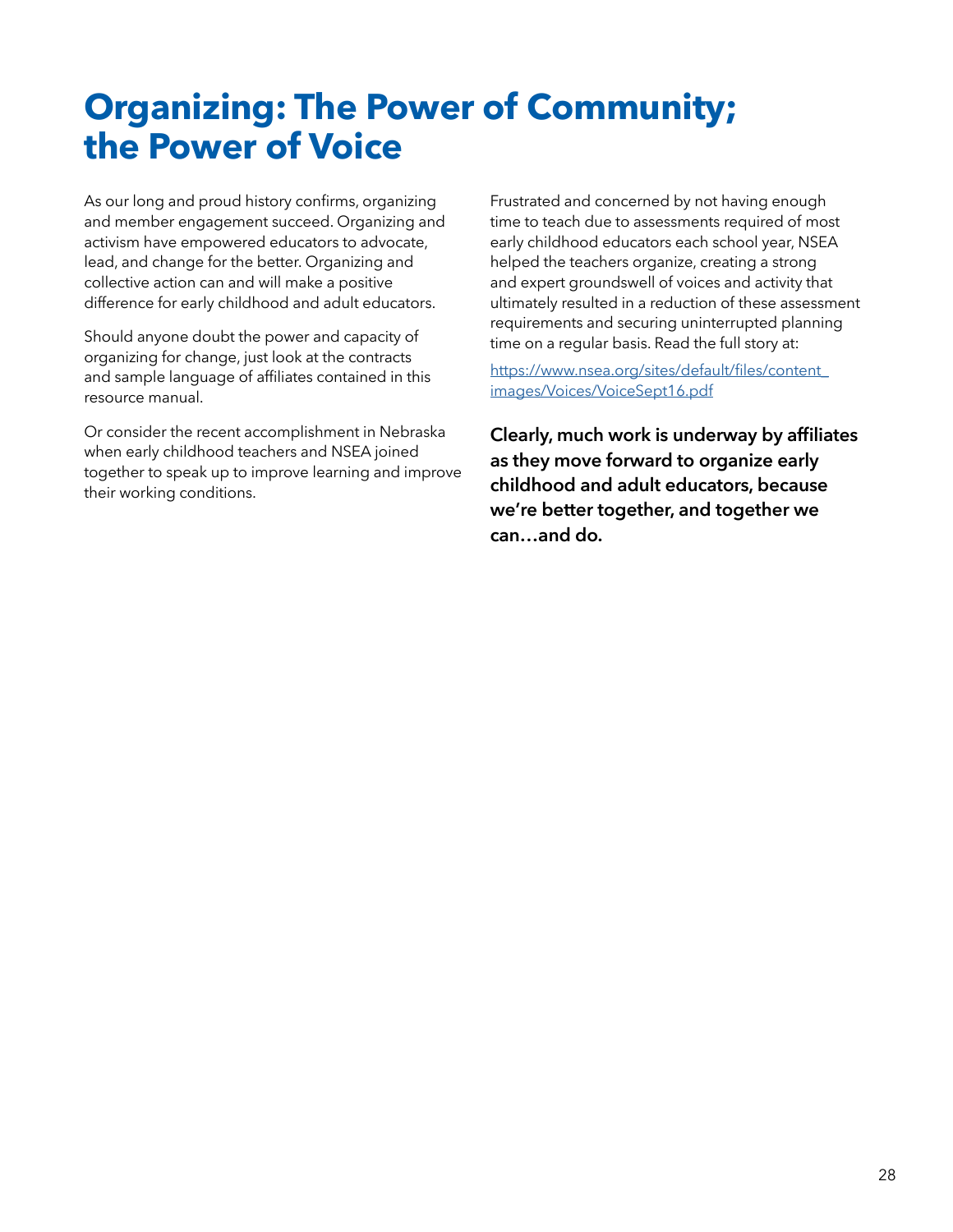# **Organizing: The Power of Community; the Power of Voice**

As our long and proud history confirms, organizing and member engagement succeed. Organizing and activism have empowered educators to advocate, lead, and change for the better. Organizing and collective action can and will make a positive difference for early childhood and adult educators.

Should anyone doubt the power and capacity of organizing for change, just look at the contracts and sample language of affiliates contained in this resource manual.

Or consider the recent accomplishment in Nebraska when early childhood teachers and NSEA joined together to speak up to improve learning and improve their working conditions.

Frustrated and concerned by not having enough time to teach due to assessments required of most early childhood educators each school year, NSEA helped the teachers organize, creating a strong and expert groundswell of voices and activity that ultimately resulted in a reduction of these assessment requirements and securing uninterrupted planning time on a regular basis. Read the full story at:

[https://www.nsea.org/sites/default/files/content\\_](https://www.nsea.org/sites/default/files/content_images/Voices/VoiceSept16.pdf) [images/Voices/VoiceSept16.pdf](https://www.nsea.org/sites/default/files/content_images/Voices/VoiceSept16.pdf)

**Clearly, much work is underway by affiliates as they move forward to organize early childhood and adult educators, because we're better together, and together we can…and do.**